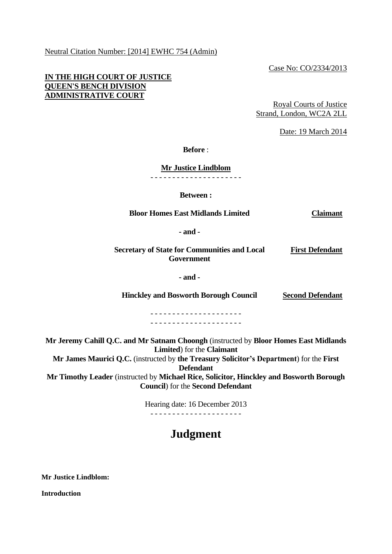Neutral Citation Number: [2014] EWHC 754 (Admin)

Case No: CO/2334/2013

## **IN THE HIGH COURT OF JUSTICE QUEEN'S BENCH DIVISION ADMINISTRATIVE COURT**

Royal Courts of Justice Strand, London, WC2A 2LL

Date: 19 March 2014

**Before** :

**Mr Justice Lindblom**

- - - - - - - - - - - - - - - - - - - - -

**Between :**

**Bloor Homes East Midlands Limited Claimant**

**- and -**

**Secretary of State for Communities and Local Government First Defendant**

**- and -**

**Hinckley and Bosworth Borough Council Second Defendant**

- - - - - - - - - - - - - - - - - - - - - - - - - - - - - - - - - - - - - - - - - -

**Mr Jeremy Cahill Q.C. and Mr Satnam Choongh** (instructed by **Bloor Homes East Midlands Limited**) for the **Claimant Mr James Maurici Q.C.** (instructed by **the Treasury Solicitor's Department**) for the **First** 

**Defendant**

**Mr Timothy Leader** (instructed by **Michael Rice, Solicitor, Hinckley and Bosworth Borough Council**) for the **Second Defendant**

> Hearing date: 16 December 2013 - - - - - - - - - - - - - - - - - - - - -

# **Judgment**

**Mr Justice Lindblom:**

**Introduction**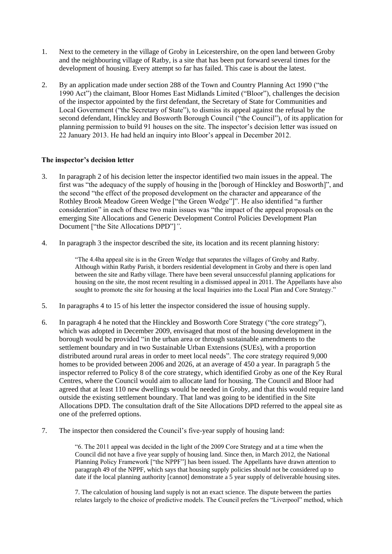- 1. Next to the cemetery in the village of Groby in Leicestershire, on the open land between Groby and the neighbouring village of Ratby, is a site that has been put forward several times for the development of housing. Every attempt so far has failed. This case is about the latest.
- 2. By an application made under section 288 of the Town and Country Planning Act 1990 ("the 1990 Act") the claimant, Bloor Homes East Midlands Limited ("Bloor"), challenges the decision of the inspector appointed by the first defendant, the Secretary of State for Communities and Local Government ("the Secretary of State"), to dismiss its appeal against the refusal by the second defendant, Hinckley and Bosworth Borough Council ("the Council"), of its application for planning permission to build 91 houses on the site. The inspector's decision letter was issued on 22 January 2013. He had held an inquiry into Bloor's appeal in December 2012.

## **The inspector's decision letter**

- 3. In paragraph 2 of his decision letter the inspector identified two main issues in the appeal. The first was "the adequacy of the supply of housing in the [borough of Hinckley and Bosworth]", and the second "the effect of the proposed development on the character and appearance of the Rothley Brook Meadow Green Wedge ["the Green Wedge"]". He also identified "a further consideration" in each of these two main issues was "the impact of the appeal proposals on the emerging Site Allocations and Generic Development Control Policies Development Plan Document ["the Site Allocations DPD"]*"*.
- 4. In paragraph 3 the inspector described the site, its location and its recent planning history:

"The 4.4ha appeal site is in the Green Wedge that separates the villages of Groby and Ratby. Although within Ratby Parish, it borders residential development in Groby and there is open land between the site and Ratby village. There have been several unsuccessful planning applications for housing on the site, the most recent resulting in a dismissed appeal in 2011. The Appellants have also sought to promote the site for housing at the local Inquiries into the Local Plan and Core Strategy."

- 5. In paragraphs 4 to 15 of his letter the inspector considered the issue of housing supply.
- 6. In paragraph 4 he noted that the Hinckley and Bosworth Core Strategy ("the core strategy"), which was adopted in December 2009, envisaged that most of the housing development in the borough would be provided "in the urban area or through sustainable amendments to the settlement boundary and in two Sustainable Urban Extensions (SUEs), with a proportion distributed around rural areas in order to meet local needs". The core strategy required 9,000 homes to be provided between 2006 and 2026, at an average of 450 a year. In paragraph 5 the inspector referred to Policy 8 of the core strategy, which identified Groby as one of the Key Rural Centres, where the Council would aim to allocate land for housing. The Council and Bloor had agreed that at least 110 new dwellings would be needed in Groby, and that this would require land outside the existing settlement boundary. That land was going to be identified in the Site Allocations DPD. The consultation draft of the Site Allocations DPD referred to the appeal site as one of the preferred options.
- 7. The inspector then considered the Council's five-year supply of housing land:

"6. The 2011 appeal was decided in the light of the 2009 Core Strategy and at a time when the Council did not have a five year supply of housing land. Since then, in March 2012, the National Planning Policy Framework ["the NPPF"] has been issued. The Appellants have drawn attention to paragraph 49 of the NPPF, which says that housing supply policies should not be considered up to date if the local planning authority [cannot] demonstrate a 5 year supply of deliverable housing sites.

7. The calculation of housing land supply is not an exact science. The dispute between the parties relates largely to the choice of predictive models. The Council prefers the "Liverpool" method, which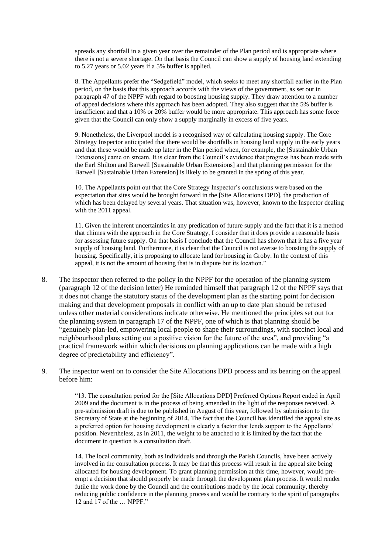spreads any shortfall in a given year over the remainder of the Plan period and is appropriate where there is not a severe shortage. On that basis the Council can show a supply of housing land extending to 5.27 years or 5.02 years if a 5% buffer is applied.

8. The Appellants prefer the "Sedgefield" model, which seeks to meet any shortfall earlier in the Plan period, on the basis that this approach accords with the views of the government, as set out in paragraph 47 of the NPPF with regard to boosting housing supply. They draw attention to a number of appeal decisions where this approach has been adopted. They also suggest that the 5% buffer is insufficient and that a 10% or 20% buffer would be more appropriate. This approach has some force given that the Council can only show a supply marginally in excess of five years.

9. Nonetheless, the Liverpool model is a recognised way of calculating housing supply. The Core Strategy Inspector anticipated that there would be shortfalls in housing land supply in the early years and that these would be made up later in the Plan period when, for example, the [Sustainable Urban Extensions] came on stream. It is clear from the Council's evidence that progress has been made with the Earl Shilton and Barwell [Sustainable Urban Extensions] and that planning permission for the Barwell [Sustainable Urban Extension] is likely to be granted in the spring of this year.

10. The Appellants point out that the Core Strategy Inspector's conclusions were based on the expectation that sites would be brought forward in the [Site Allocations DPD], the production of which has been delayed by several years. That situation was, however, known to the Inspector dealing with the 2011 appeal.

11. Given the inherent uncertainties in any predication of future supply and the fact that it is a method that chimes with the approach in the Core Strategy, I consider that it does provide a reasonable basis for assessing future supply. On that basis I conclude that the Council has shown that it has a five year supply of housing land. Furthermore, it is clear that the Council is not averse to boosting the supply of housing. Specifically, it is proposing to allocate land for housing in Groby. In the context of this appeal, it is not the amount of housing that is in dispute but its location."

- 8. The inspector then referred to the policy in the NPPF for the operation of the planning system (paragraph 12 of the decision letter) He reminded himself that paragraph 12 of the NPPF says that it does not change the statutory status of the development plan as the starting point for decision making and that development proposals in conflict with an up to date plan should be refused unless other material considerations indicate otherwise. He mentioned the principles set out for the planning system in paragraph 17 of the NPPF, one of which is that planning should be "genuinely plan-led, empowering local people to shape their surroundings, with succinct local and neighbourhood plans setting out a positive vision for the future of the area", and providing "a practical framework within which decisions on planning applications can be made with a high degree of predictability and efficiency".
- 9. The inspector went on to consider the Site Allocations DPD process and its bearing on the appeal before him:

"13. The consultation period for the [Site Allocations DPD] Preferred Options Report ended in April 2009 and the document is in the process of being amended in the light of the responses received. A pre-submission draft is due to be published in August of this year, followed by submission to the Secretary of State at the beginning of 2014. The fact that the Council has identified the appeal site as a preferred option for housing development is clearly a factor that lends support to the Appellants' position. Nevertheless, as in 2011, the weight to be attached to it is limited by the fact that the document in question is a consultation draft.

14. The local community, both as individuals and through the Parish Councils, have been actively involved in the consultation process. It may be that this process will result in the appeal site being allocated for housing development. To grant planning permission at this time, however, would preempt a decision that should properly be made through the development plan process. It would render futile the work done by the Council and the contributions made by the local community, thereby reducing public confidence in the planning process and would be contrary to the spirit of paragraphs 12 and 17 of the … NPPF."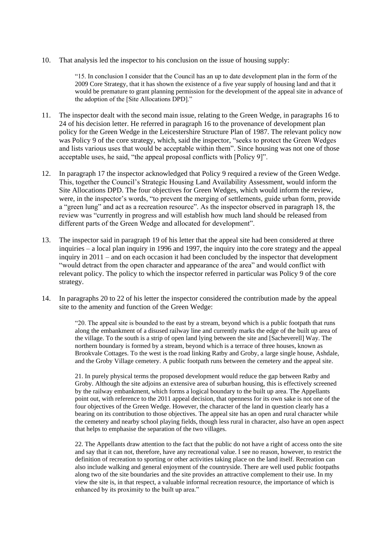10. That analysis led the inspector to his conclusion on the issue of housing supply:

"15. In conclusion I consider that the Council has an up to date development plan in the form of the 2009 Core Strategy, that it has shown the existence of a five year supply of housing land and that it would be premature to grant planning permission for the development of the appeal site in advance of the adoption of the [Site Allocations DPD]."

- 11. The inspector dealt with the second main issue, relating to the Green Wedge, in paragraphs 16 to 24 of his decision letter. He referred in paragraph 16 to the provenance of development plan policy for the Green Wedge in the Leicestershire Structure Plan of 1987. The relevant policy now was Policy 9 of the core strategy, which, said the inspector, "seeks to protect the Green Wedges and lists various uses that would be acceptable within them". Since housing was not one of those acceptable uses, he said, "the appeal proposal conflicts with [Policy 9]".
- 12. In paragraph 17 the inspector acknowledged that Policy 9 required a review of the Green Wedge. This, together the Council's Strategic Housing Land Availability Assessment, would inform the Site Allocations DPD. The four objectives for Green Wedges, which would inform the review, were, in the inspector's words, "to prevent the merging of settlements, guide urban form, provide a "green lung" and act as a recreation resource". As the inspector observed in paragraph 18, the review was "currently in progress and will establish how much land should be released from different parts of the Green Wedge and allocated for development".
- 13. The inspector said in paragraph 19 of his letter that the appeal site had been considered at three inquiries – a local plan inquiry in 1996 and 1997, the inquiry into the core strategy and the appeal inquiry in 2011 – and on each occasion it had been concluded by the inspector that development "would detract from the open character and appearance of the area" and would conflict with relevant policy. The policy to which the inspector referred in particular was Policy 9 of the core strategy.
- 14. In paragraphs 20 to 22 of his letter the inspector considered the contribution made by the appeal site to the amenity and function of the Green Wedge:

"20. The appeal site is bounded to the east by a stream, beyond which is a public footpath that runs along the embankment of a disused railway line and currently marks the edge of the built up area of the village. To the south is a strip of open land lying between the site and [Sacheverell] Way. The northern boundary is formed by a stream, beyond which is a terrace of three houses, known as Brookvale Cottages. To the west is the road linking Ratby and Groby, a large single house, Ashdale, and the Groby Village cemetery. A public footpath runs between the cemetery and the appeal site.

21. In purely physical terms the proposed development would reduce the gap between Ratby and Groby. Although the site adjoins an extensive area of suburban housing, this is effectively screened by the railway embankment, which forms a logical boundary to the built up area. The Appellants point out, with reference to the 2011 appeal decision, that openness for its own sake is not one of the four objectives of the Green Wedge. However, the character of the land in question clearly has a bearing on its contribution to those objectives. The appeal site has an open and rural character while the cemetery and nearby school playing fields, though less rural in character, also have an open aspect that helps to emphasise the separation of the two villages.

22. The Appellants draw attention to the fact that the public do not have a right of access onto the site and say that it can not, therefore, have any recreational value. I see no reason, however, to restrict the definition of recreation to sporting or other activities taking place on the land itself. Recreation can also include walking and general enjoyment of the countryside. There are well used public footpaths along two of the site boundaries and the site provides an attractive complement to their use. In my view the site is, in that respect, a valuable informal recreation resource, the importance of which is enhanced by its proximity to the built up area."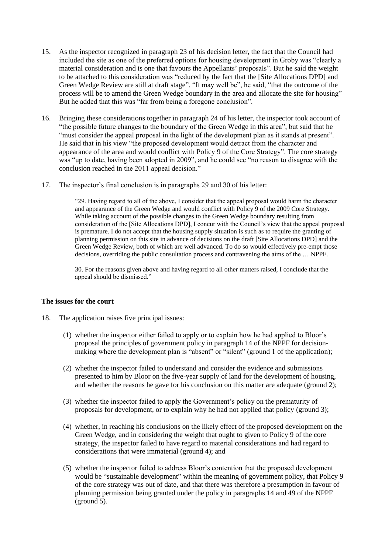- 15. As the inspector recognized in paragraph 23 of his decision letter, the fact that the Council had included the site as one of the preferred options for housing development in Groby was "clearly a material consideration and is one that favours the Appellants' proposals". But he said the weight to be attached to this consideration was "reduced by the fact that the [Site Allocations DPD] and Green Wedge Review are still at draft stage". "It may well be", he said, "that the outcome of the process will be to amend the Green Wedge boundary in the area and allocate the site for housing" But he added that this was "far from being a foregone conclusion".
- 16. Bringing these considerations together in paragraph 24 of his letter, the inspector took account of "the possible future changes to the boundary of the Green Wedge in this area", but said that he "must consider the appeal proposal in the light of the development plan as it stands at present". He said that in his view "the proposed development would detract from the character and appearance of the area and would conflict with Policy 9 of the Core Strategy". The core strategy was "up to date, having been adopted in 2009", and he could see "no reason to disagree with the conclusion reached in the 2011 appeal decision."
- 17. The inspector's final conclusion is in paragraphs 29 and 30 of his letter:

"29. Having regard to all of the above, I consider that the appeal proposal would harm the character and appearance of the Green Wedge and would conflict with Policy 9 of the 2009 Core Strategy. While taking account of the possible changes to the Green Wedge boundary resulting from consideration of the [Site Allocations DPD], I concur with the Council's view that the appeal proposal is premature. I do not accept that the housing supply situation is such as to require the granting of planning permission on this site in advance of decisions on the draft [Site Allocations DPD] and the Green Wedge Review, both of which are well advanced. To do so would effectively pre-empt those decisions, overriding the public consultation process and contravening the aims of the … NPPF.

30. For the reasons given above and having regard to all other matters raised, I conclude that the appeal should be dismissed."

## **The issues for the court**

- 18. The application raises five principal issues:
	- (1) whether the inspector either failed to apply or to explain how he had applied to Bloor's proposal the principles of government policy in paragraph 14 of the NPPF for decisionmaking where the development plan is "absent" or "silent" (ground 1 of the application);
	- (2) whether the inspector failed to understand and consider the evidence and submissions presented to him by Bloor on the five-year supply of land for the development of housing, and whether the reasons he gave for his conclusion on this matter are adequate (ground 2);
	- (3) whether the inspector failed to apply the Government's policy on the prematurity of proposals for development, or to explain why he had not applied that policy (ground 3);
	- (4) whether, in reaching his conclusions on the likely effect of the proposed development on the Green Wedge, and in considering the weight that ought to given to Policy 9 of the core strategy, the inspector failed to have regard to material considerations and had regard to considerations that were immaterial (ground 4); and
	- (5) whether the inspector failed to address Bloor's contention that the proposed development would be "sustainable development" within the meaning of government policy, that Policy 9 of the core strategy was out of date, and that there was therefore a presumption in favour of planning permission being granted under the policy in paragraphs 14 and 49 of the NPPF (ground 5).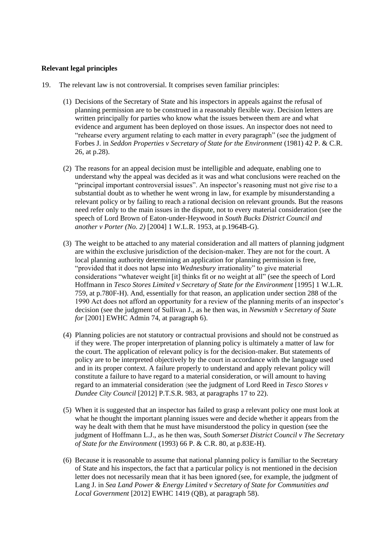## **Relevant legal principles**

- 19. The relevant law is not controversial. It comprises seven familiar principles:
	- (1) Decisions of the Secretary of State and his inspectors in appeals against the refusal of planning permission are to be construed in a reasonably flexible way. Decision letters are written principally for parties who know what the issues between them are and what evidence and argument has been deployed on those issues. An inspector does not need to "rehearse every argument relating to each matter in every paragraph" (see the judgment of Forbes J. in *Seddon Properties v Secretary of State for the Environment* (1981) 42 P. & C.R. 26, at p.28).
	- (2) The reasons for an appeal decision must be intelligible and adequate, enabling one to understand why the appeal was decided as it was and what conclusions were reached on the "principal important controversial issues". An inspector's reasoning must not give rise to a substantial doubt as to whether he went wrong in law, for example by misunderstanding a relevant policy or by failing to reach a rational decision on relevant grounds. But the reasons need refer only to the main issues in the dispute, not to every material consideration (see the speech of Lord Brown of Eaton-under-Heywood in *South Bucks District Council and another v Porter (No. 2)* [2004] 1 W.L.R. 1953, at p.1964B-G).
	- (3) The weight to be attached to any material consideration and all matters of planning judgment are within the exclusive jurisdiction of the decision-maker. They are not for the court. A local planning authority determining an application for planning permission is free, "provided that it does not lapse into *Wednesbury* irrationality" to give material considerations "whatever weight [it] thinks fit or no weight at all" (see the speech of Lord Hoffmann in *Tesco Stores Limited v Secretary of State for the Environment* [1995] 1 W.L.R. 759, at p.780F-H). And, essentially for that reason, an application under section 288 of the 1990 Act does not afford an opportunity for a review of the planning merits of an inspector's decision (see the judgment of Sullivan J., as he then was, in *Newsmith v Secretary of State for* [2001] EWHC Admin 74, at paragraph 6).
	- (4) Planning policies are not statutory or contractual provisions and should not be construed as if they were. The proper interpretation of planning policy is ultimately a matter of law for the court. The application of relevant policy is for the decision-maker. But statements of policy are to be interpreted objectively by the court in accordance with the language used and in its proper context. A failure properly to understand and apply relevant policy will constitute a failure to have regard to a material consideration, or will amount to having regard to an immaterial consideration (see the judgment of Lord Reed in *Tesco Stores v Dundee City Council* [2012] P.T.S.R. 983, at paragraphs 17 to 22).
	- (5) When it is suggested that an inspector has failed to grasp a relevant policy one must look at what he thought the important planning issues were and decide whether it appears from the way he dealt with them that he must have misunderstood the policy in question (see the judgment of Hoffmann L.J., as he then was, *South Somerset District Council v The Secretary of State for the Environment* (1993) 66 P. & C.R. 80, at p.83E-H).
	- (6) Because it is reasonable to assume that national planning policy is familiar to the Secretary of State and his inspectors, the fact that a particular policy is not mentioned in the decision letter does not necessarily mean that it has been ignored (see, for example, the judgment of Lang J. in *Sea Land Power & Energy Limited v Secretary of State for Communities and Local Government* [2012] EWHC 1419 (QB), at paragraph 58).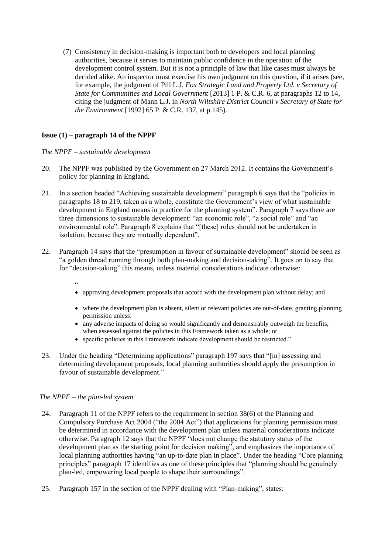(7) Consistency in decision-making is important both to developers and local planning authorities, because it serves to maintain public confidence in the operation of the development control system. But it is not a principle of law that like cases must always be decided alike. An inspector must exercise his own judgment on this question, if it arises (see, for example, the judgment of Pill L.J. *Fox Strategic Land and Property Ltd. v Secretary of State for Communities and Local Government* [2013] 1 P. & C.R. 6, at paragraphs 12 to 14, citing the judgment of Mann L.J. in *North Wiltshire District Council v Secretary of State for the Environment* [1992] 65 P. & C.R. 137, at p.145).

## **Issue (1) – paragraph 14 of the NPPF**

*The NPPF – sustainable development*

- 20. The NPPF was published by the Government on 27 March 2012. It contains the Government's policy for planning in England.
- 21. In a section headed "Achieving sustainable development" paragraph 6 says that the "policies in paragraphs 18 to 219, taken as a whole, constitute the Government's view of what sustainable development in England means in practice for the planning system". Paragraph 7 says there are three dimensions to sustainable development: "an economic role", "a social role" and "an environmental role". Paragraph 8 explains that "[these] roles should not be undertaken in isolation, because they are mutually dependent".
- 22. Paragraph 14 says that the "presumption in favour of sustainable development" should be seen as "a golden thread running through both plan-making and decision-taking". It goes on to say that for "decision-taking" this means, unless material considerations indicate otherwise:
	- "
	- approving development proposals that accord with the development plan without delay; and
	- where the development plan is absent, silent or relevant policies are out-of-date, granting planning permission unless:
	- any adverse impacts of doing so would significantly and demonstrably outweigh the benefits, when assessed against the policies in this Framework taken as a whole; or
	- specific policies in this Framework indicate development should be restricted."
- 23. Under the heading "Determining applications" paragraph 197 says that "[in] assessing and determining development proposals, local planning authorities should apply the presumption in favour of sustainable development."

## *The NPPF – the plan-led system*

- 24. Paragraph 11 of the NPPF refers to the requirement in section 38(6) of the Planning and Compulsory Purchase Act 2004 ("the 2004 Act") that applications for planning permission must be determined in accordance with the development plan unless material considerations indicate otherwise. Paragraph 12 says that the NPPF "does not change the statutory status of the development plan as the starting point for decision making", and emphasizes the importance of local planning authorities having "an up-to-date plan in place". Under the heading "Core planning principles" paragraph 17 identifies as one of these principles that "planning should be genuinely plan-led, empowering local people to shape their surroundings".
- 25. Paragraph 157 in the section of the NPPF dealing with "Plan-making", states: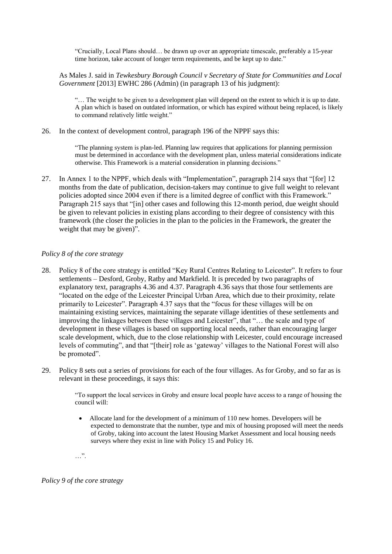"Crucially, Local Plans should… be drawn up over an appropriate timescale, preferably a 15-year time horizon, take account of longer term requirements, and be kept up to date."

As Males J. said in *Tewkesbury Borough Council v Secretary of State for Communities and Local Government* [2013] EWHC 286 (Admin) (in paragraph 13 of his judgment):

"… The weight to be given to a development plan will depend on the extent to which it is up to date. A plan which is based on outdated information, or which has expired without being replaced, is likely to command relatively little weight."

26. In the context of development control, paragraph 196 of the NPPF says this:

"The planning system is plan-led. Planning law requires that applications for planning permission must be determined in accordance with the development plan, unless material considerations indicate otherwise. This Framework is a material consideration in planning decisions."

27. In Annex 1 to the NPPF, which deals with "Implementation", paragraph 214 says that "[for] 12 months from the date of publication, decision-takers may continue to give full weight to relevant policies adopted since 2004 even if there is a limited degree of conflict with this Framework." Paragraph 215 says that "[in] other cases and following this 12-month period, due weight should be given to relevant policies in existing plans according to their degree of consistency with this framework (the closer the policies in the plan to the policies in the Framework, the greater the weight that may be given)".

#### *Policy 8 of the core strategy*

- 28. Policy 8 of the core strategy is entitled "Key Rural Centres Relating to Leicester". It refers to four settlements – Desford, Groby, Ratby and Markfield. It is preceded by two paragraphs of explanatory text, paragraphs 4.36 and 4.37. Paragraph 4.36 says that those four settlements are "located on the edge of the Leicester Principal Urban Area, which due to their proximity, relate primarily to Leicester". Paragraph 4.37 says that the "focus for these villages will be on maintaining existing services, maintaining the separate village identities of these settlements and improving the linkages between these villages and Leicester", that "… the scale and type of development in these villages is based on supporting local needs, rather than encouraging larger scale development, which, due to the close relationship with Leicester, could encourage increased levels of commuting", and that "[their] role as 'gateway' villages to the National Forest will also be promoted".
- 29. Policy 8 sets out a series of provisions for each of the four villages. As for Groby, and so far as is relevant in these proceedings, it says this:

"To support the local services in Groby and ensure local people have access to a range of housing the council will:

• Allocate land for the development of a minimum of 110 new homes. Developers will be expected to demonstrate that the number, type and mix of housing proposed will meet the needs of Groby, taking into account the latest Housing Market Assessment and local housing needs surveys where they exist in line with Policy 15 and Policy 16.

…".

## *Policy 9 of the core strategy*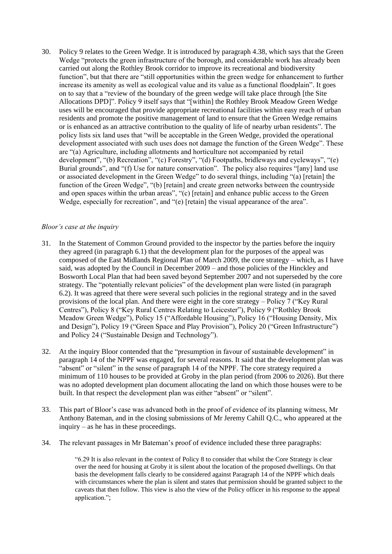30. Policy 9 relates to the Green Wedge. It is introduced by paragraph 4.38, which says that the Green Wedge "protects the green infrastructure of the borough, and considerable work has already been carried out along the Rothley Brook corridor to improve its recreational and biodiversity function", but that there are "still opportunities within the green wedge for enhancement to further increase its amenity as well as ecological value and its value as a functional floodplain". It goes on to say that a "review of the boundary of the green wedge will take place through [the Site Allocations DPD]". Policy 9 itself says that "[within] the Rothley Brook Meadow Green Wedge uses will be encouraged that provide appropriate recreational facilities within easy reach of urban residents and promote the positive management of land to ensure that the Green Wedge remains or is enhanced as an attractive contribution to the quality of life of nearby urban residents". The policy lists six land uses that "will be acceptable in the Green Wedge, provided the operational development associated with such uses does not damage the function of the Green Wedge". These are "(a) Agriculture, including allotments and horticulture not accompanied by retail development", "(b) Recreation", "(c) Forestry", "(d) Footpaths, bridleways and cycleways", "(e) Burial grounds", and "(f) Use for nature conservation". The policy also requires "[any] land use or associated development in the Green Wedge" to do several things, including "(a) [retain] the function of the Green Wedge", "(b) [retain] and create green networks between the countryside and open spaces within the urban areas", "(c) [retain] and enhance public access to the Green Wedge, especially for recreation", and "(e) [retain] the visual appearance of the area".

## *Bloor's case at the inquiry*

- 31. In the Statement of Common Ground provided to the inspector by the parties before the inquiry they agreed (in paragraph 6.1) that the development plan for the purposes of the appeal was composed of the East Midlands Regional Plan of March 2009, the core strategy – which, as I have said, was adopted by the Council in December 2009 – and those policies of the Hinckley and Bosworth Local Plan that had been saved beyond September 2007 and not superseded by the core strategy. The "potentially relevant policies" of the development plan were listed (in paragraph 6.2). It was agreed that there were several such policies in the regional strategy and in the saved provisions of the local plan. And there were eight in the core strategy – Policy 7 ("Key Rural Centres"), Policy 8 ("Key Rural Centres Relating to Leicester"), Policy 9 ("Rothley Brook Meadow Green Wedge"), Policy 15 ("Affordable Housing"), Policy 16 ("Housing Density, Mix and Design"), Policy 19 ("Green Space and Play Provision"), Policy 20 ("Green Infrastructure") and Policy 24 ("Sustainable Design and Technology").
- 32. At the inquiry Bloor contended that the "presumption in favour of sustainable development" in paragraph 14 of the NPPF was engaged, for several reasons. It said that the development plan was "absent" or "silent" in the sense of paragraph 14 of the NPPF. The core strategy required a minimum of 110 houses to be provided at Groby in the plan period (from 2006 to 2026). But there was no adopted development plan document allocating the land on which those houses were to be built. In that respect the development plan was either "absent" or "silent".
- 33. This part of Bloor's case was advanced both in the proof of evidence of its planning witness, Mr Anthony Bateman, and in the closing submissions of Mr Jeremy Cahill Q.C., who appeared at the inquiry – as he has in these proceedings.
- 34. The relevant passages in Mr Bateman's proof of evidence included these three paragraphs:

"6.29 It is also relevant in the context of Policy 8 to consider that whilst the Core Strategy is clear over the need for housing at Groby it is silent about the location of the proposed dwellings. On that basis the development falls clearly to be considered against Paragraph 14 of the NPPF which deals with circumstances where the plan is silent and states that permission should be granted subject to the caveats that then follow. This view is also the view of the Policy officer in his response to the appeal application.";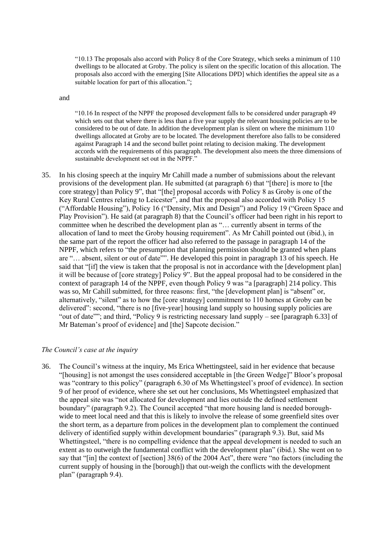"10.13 The proposals also accord with Policy 8 of the Core Strategy, which seeks a minimum of 110 dwellings to be allocated at Groby. The policy is silent on the specific location of this allocation. The proposals also accord with the emerging [Site Allocations DPD] which identifies the appeal site as a suitable location for part of this allocation.";

#### and

"10.16 In respect of the NPPF the proposed development falls to be considered under paragraph 49 which sets out that where there is less than a five year supply the relevant housing policies are to be considered to be out of date. In addition the development plan is silent on where the minimum 110 dwellings allocated at Groby are to be located. The development therefore also falls to be considered against Paragraph 14 and the second bullet point relating to decision making. The development accords with the requirements of this paragraph. The development also meets the three dimensions of sustainable development set out in the NPPF."

35. In his closing speech at the inquiry Mr Cahill made a number of submissions about the relevant provisions of the development plan. He submitted (at paragraph 6) that "[there] is more to [the core strategy] than Policy 9", that "[the] proposal accords with Policy 8 as Groby is one of the Key Rural Centres relating to Leicester", and that the proposal also accorded with Policy 15 ("Affordable Housing"), Policy 16 ("Density, Mix and Design") and Policy 19 ("Green Space and Play Provision"). He said (at paragraph 8) that the Council's officer had been right in his report to committee when he described the development plan as "… currently absent in terms of the allocation of land to meet the Groby housing requirement". As Mr Cahill pointed out (ibid.), in the same part of the report the officer had also referred to the passage in paragraph 14 of the NPPF, which refers to "the presumption that planning permission should be granted when plans are "… absent, silent or out of date"". He developed this point in paragraph 13 of his speech. He said that "[if] the view is taken that the proposal is not in accordance with the [development plan] it will be because of [core strategy] Policy 9". But the appeal proposal had to be considered in the context of paragraph 14 of the NPPF, even though Policy 9 was "a [paragraph] 214 policy. This was so, Mr Cahill submitted, for three reasons: first, "the [development plan] is "absent" or, alternatively, "silent" as to how the [core strategy] commitment to 110 homes at Groby can be delivered": second, "there is no [five-year] housing land supply so housing supply policies are "out of date""; and third, "Policy 9 is restricting necessary land supply – see [paragraph 6.33] of Mr Bateman's proof of evidence] and [the] Sapcote decision."

#### *The Council's case at the inquiry*

36. The Council's witness at the inquiry, Ms Erica Whettingsteel, said in her evidence that because "[housing] is not amongst the uses considered acceptable in [the Green Wedge]" Bloor's proposal was "contrary to this policy" (paragraph 6.30 of Ms Whettingsteel's proof of evidence). In section 9 of her proof of evidence, where she set out her conclusions, Ms Whettingsteel emphasized that the appeal site was "not allocated for development and lies outside the defined settlement boundary" (paragraph 9.2). The Council accepted "that more housing land is needed boroughwide to meet local need and that this is likely to involve the release of some greenfield sites over the short term, as a departure from polices in the development plan to complement the continued delivery of identified supply within development boundaries" (paragraph 9.3). But, said Ms Whettingsteel, "there is no compelling evidence that the appeal development is needed to such an extent as to outweigh the fundamental conflict with the development plan" (ibid.). She went on to say that "[in] the context of [section] 38(6) of the 2004 Act", there were "no factors (including the current supply of housing in the [borough]) that out-weigh the conflicts with the development plan" (paragraph 9.4).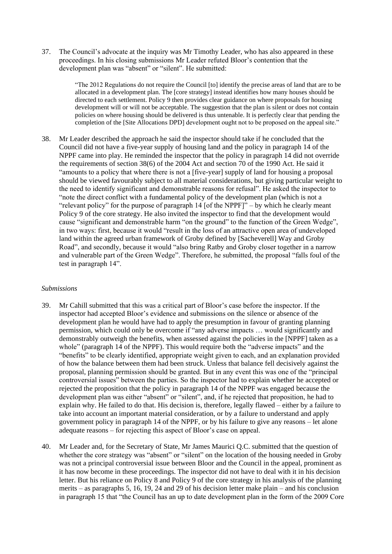37. The Council's advocate at the inquiry was Mr Timothy Leader, who has also appeared in these proceedings. In his closing submissions Mr Leader refuted Bloor's contention that the development plan was "absent" or "silent". He submitted:

> "The 2012 Regulations do not require the Council [to] identify the precise areas of land that are to be allocated in a development plan. The [core strategy] instead identifies how many houses should be directed to each settlement. Policy 9 then provides clear guidance on where proposals for housing development will or will not be acceptable. The suggestion that the plan is silent or does not contain policies on where housing should be delivered is thus untenable. It is perfectly clear that pending the completion of the [Site Allocations DPD] development ought not to be proposed on the appeal site."

38. Mr Leader described the approach he said the inspector should take if he concluded that the Council did not have a five-year supply of housing land and the policy in paragraph 14 of the NPPF came into play. He reminded the inspector that the policy in paragraph 14 did not override the requirements of section 38(6) of the 2004 Act and section 70 of the 1990 Act. He said it "amounts to a policy that where there is not a [five-year] supply of land for housing a proposal should be viewed favourably subject to all material considerations, but giving particular weight to the need to identify significant and demonstrable reasons for refusal". He asked the inspector to "note the direct conflict with a fundamental policy of the development plan (which is not a "relevant policy" for the purpose of paragraph 14 [of the NPPF]" – by which he clearly meant Policy 9 of the core strategy. He also invited the inspector to find that the development would cause "significant and demonstrable harm "on the ground" to the function of the Green Wedge", in two ways: first, because it would "result in the loss of an attractive open area of undeveloped land within the agreed urban framework of Groby defined by [Sacheverell] Way and Groby Road", and secondly, because it would "also bring Ratby and Groby closer together in a narrow and vulnerable part of the Green Wedge". Therefore, he submitted, the proposal "falls foul of the test in paragraph 14".

#### *Submissions*

- 39. Mr Cahill submitted that this was a critical part of Bloor's case before the inspector. If the inspector had accepted Bloor's evidence and submissions on the silence or absence of the development plan he would have had to apply the presumption in favour of granting planning permission, which could only be overcome if "any adverse impacts … would significantly and demonstrably outweigh the benefits, when assessed against the policies in the [NPPF] taken as a whole" (paragraph 14 of the NPPF). This would require both the "adverse impacts" and the "benefits" to be clearly identified, appropriate weight given to each, and an explanation provided of how the balance between them had been struck. Unless that balance fell decisively against the proposal, planning permission should be granted. But in any event this was one of the "principal controversial issues" between the parties. So the inspector had to explain whether he accepted or rejected the proposition that the policy in paragraph 14 of the NPPF was engaged because the development plan was either "absent" or "silent", and, if he rejected that proposition, he had to explain why. He failed to do that. His decision is, therefore, legally flawed – either by a failure to take into account an important material consideration, or by a failure to understand and apply government policy in paragraph 14 of the NPPF, or by his failure to give any reasons – let alone adequate reasons – for rejecting this aspect of Bloor's case on appeal.
- 40. Mr Leader and, for the Secretary of State, Mr James Maurici Q.C. submitted that the question of whether the core strategy was "absent" or "silent" on the location of the housing needed in Groby was not a principal controversial issue between Bloor and the Council in the appeal, prominent as it has now become in these proceedings. The inspector did not have to deal with it in his decision letter. But his reliance on Policy 8 and Policy 9 of the core strategy in his analysis of the planning merits – as paragraphs 5, 16, 19, 24 and 29 of his decision letter make plain – and his conclusion in paragraph 15 that "the Council has an up to date development plan in the form of the 2009 Core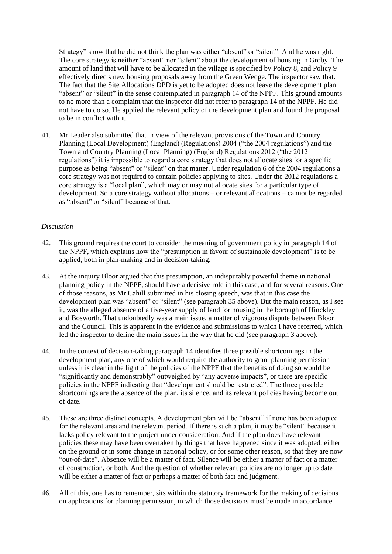Strategy" show that he did not think the plan was either "absent" or "silent". And he was right. The core strategy is neither "absent" nor "silent" about the development of housing in Groby. The amount of land that will have to be allocated in the village is specified by Policy 8, and Policy 9 effectively directs new housing proposals away from the Green Wedge. The inspector saw that. The fact that the Site Allocations DPD is yet to be adopted does not leave the development plan "absent" or "silent" in the sense contemplated in paragraph 14 of the NPPF. This ground amounts to no more than a complaint that the inspector did not refer to paragraph 14 of the NPPF. He did not have to do so. He applied the relevant policy of the development plan and found the proposal to be in conflict with it.

41. Mr Leader also submitted that in view of the relevant provisions of the Town and Country Planning (Local Development) (England) (Regulations) 2004 ("the 2004 regulations") and the Town and Country Planning (Local Planning) (England) Regulations 2012 ("the 2012 regulations") it is impossible to regard a core strategy that does not allocate sites for a specific purpose as being "absent" or "silent" on that matter. Under regulation 6 of the 2004 regulations a core strategy was not required to contain policies applying to sites. Under the 2012 regulations a core strategy is a "local plan", which may or may not allocate sites for a particular type of development. So a core strategy without allocations – or relevant allocations – cannot be regarded as "absent" or "silent" because of that.

## *Discussion*

- 42. This ground requires the court to consider the meaning of government policy in paragraph 14 of the NPPF, which explains how the "presumption in favour of sustainable development" is to be applied, both in plan-making and in decision-taking.
- 43. At the inquiry Bloor argued that this presumption, an indisputably powerful theme in national planning policy in the NPPF, should have a decisive role in this case, and for several reasons. One of those reasons, as Mr Cahill submitted in his closing speech, was that in this case the development plan was "absent" or "silent" (see paragraph 35 above). But the main reason, as I see it, was the alleged absence of a five-year supply of land for housing in the borough of Hinckley and Bosworth. That undoubtedly was a main issue, a matter of vigorous dispute between Bloor and the Council. This is apparent in the evidence and submissions to which I have referred, which led the inspector to define the main issues in the way that he did (see paragraph 3 above).
- 44. In the context of decision-taking paragraph 14 identifies three possible shortcomings in the development plan, any one of which would require the authority to grant planning permission unless it is clear in the light of the policies of the NPPF that the benefits of doing so would be "significantly and demonstrably" outweighed by "any adverse impacts", or there are specific policies in the NPPF indicating that "development should be restricted". The three possible shortcomings are the absence of the plan, its silence, and its relevant policies having become out of date.
- 45. These are three distinct concepts. A development plan will be "absent" if none has been adopted for the relevant area and the relevant period. If there is such a plan, it may be "silent" because it lacks policy relevant to the project under consideration. And if the plan does have relevant policies these may have been overtaken by things that have happened since it was adopted, either on the ground or in some change in national policy, or for some other reason, so that they are now "out-of-date". Absence will be a matter of fact. Silence will be either a matter of fact or a matter of construction, or both. And the question of whether relevant policies are no longer up to date will be either a matter of fact or perhaps a matter of both fact and judgment.
- 46. All of this, one has to remember, sits within the statutory framework for the making of decisions on applications for planning permission, in which those decisions must be made in accordance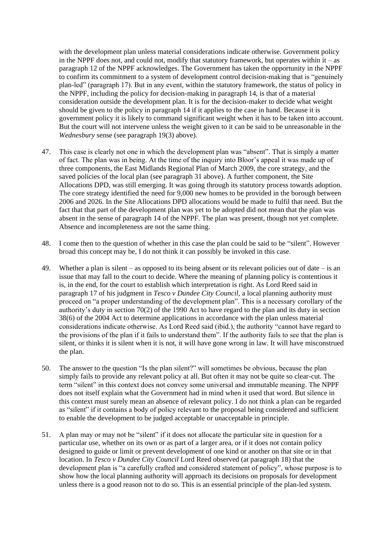with the development plan unless material considerations indicate otherwise. Government policy in the NPPF does not, and could not, modify that statutory framework, but operates within it – as paragraph 12 of the NPPF acknowledges. The Government has taken the opportunity in the NPPF to confirm its commitment to a system of development control decision-making that is "genuinely plan-led" (paragraph 17). But in any event, within the statutory framework, the status of policy in the NPPF, including the policy for decision-making in paragraph 14, is that of a material consideration outside the development plan. It is for the decision-maker to decide what weight should be given to the policy in paragraph 14 if it applies to the case in hand. Because it is government policy it is likely to command significant weight when it has to be taken into account. But the court will not intervene unless the weight given to it can be said to be unreasonable in the *Wednesbury* sense (see paragraph 19(3) above).

- 47. This case is clearly not one in which the development plan was "absent". That is simply a matter of fact. The plan was in being. At the time of the inquiry into Bloor's appeal it was made up of three components, the East Midlands Regional Plan of March 2009, the core strategy, and the saved policies of the local plan (see paragraph 31 above). A further component, the Site Allocations DPD, was still emerging. It was going through its statutory process towards adoption. The core strategy identified the need for 9,000 new homes to be provided in the borough between 2006 and 2026. In the Site Allocations DPD allocations would be made to fulfil that need. But the fact that that part of the development plan was yet to be adopted did not mean that the plan was absent in the sense of paragraph 14 of the NPPF. The plan was present, though not yet complete. Absence and incompleteness are not the same thing.
- 48. I come then to the question of whether in this case the plan could be said to be "silent". However broad this concept may be, I do not think it can possibly be invoked in this case.
- 49. Whether a plan is silent as opposed to its being absent or its relevant policies out of date is an issue that may fall to the court to decide. Where the meaning of planning policy is contentious it is, in the end, for the court to establish which interpretation is right. As Lord Reed said in paragraph 17 of his judgment in *Tesco v Dundee City Council,* a local planning authority must proceed on "a proper understanding of the development plan". This is a necessary corollary of the authority's duty in section 70(2) of the 1990 Act to have regard to the plan and its duty in section 38(6) of the 2004 Act to determine applications in accordance with the plan unless material considerations indicate otherwise. As Lord Reed said (ibid.), the authority "cannot have regard to the provisions of the plan if it fails to understand them". If the authority fails to see that the plan is silent, or thinks it is silent when it is not, it will have gone wrong in law. It will have misconstrued the plan.
- 50. The answer to the question "Is the plan silent?" will sometimes be obvious, because the plan simply fails to provide any relevant policy at all. But often it may not be quite so clear-cut. The term "silent" in this context does not convey some universal and immutable meaning. The NPPF does not itself explain what the Government had in mind when it used that word. But silence in this context must surely mean an absence of relevant policy. I do not think a plan can be regarded as "silent" if it contains a body of policy relevant to the proposal being considered and sufficient to enable the development to be judged acceptable or unacceptable in principle.
- 51. A plan may or may not be "silent" if it does not allocate the particular site in question for a particular use, whether on its own or as part of a larger area, or if it does not contain policy designed to guide or limit or prevent development of one kind or another on that site or in that location. In *Tesco v Dundee City Council* Lord Reed observed (at paragraph 18) that the development plan is "a carefully crafted and considered statement of policy", whose purpose is to show how the local planning authority will approach its decisions on proposals for development unless there is a good reason not to do so. This is an essential principle of the plan-led system.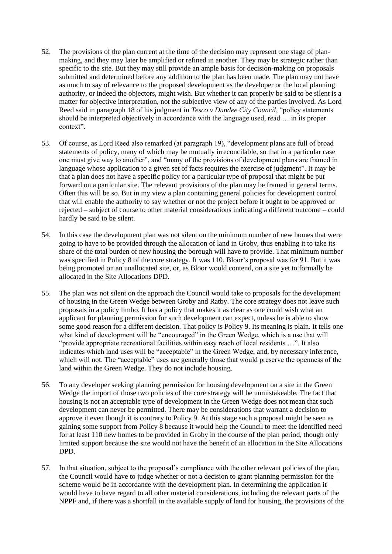- 52. The provisions of the plan current at the time of the decision may represent one stage of planmaking, and they may later be amplified or refined in another. They may be strategic rather than specific to the site. But they may still provide an ample basis for decision-making on proposals submitted and determined before any addition to the plan has been made. The plan may not have as much to say of relevance to the proposed development as the developer or the local planning authority, or indeed the objectors, might wish. But whether it can properly be said to be silent is a matter for objective interpretation, not the subjective view of any of the parties involved. As Lord Reed said in paragraph 18 of his judgment in *Tesco v Dundee City Council*, "policy statements should be interpreted objectively in accordance with the language used, read … in its proper context".
- 53. Of course, as Lord Reed also remarked (at paragraph 19), "development plans are full of broad statements of policy, many of which may be mutually irreconcilable, so that in a particular case one must give way to another", and "many of the provisions of development plans are framed in language whose application to a given set of facts requires the exercise of judgment". It may be that a plan does not have a specific policy for a particular type of proposal that might be put forward on a particular site. The relevant provisions of the plan may be framed in general terms. Often this will be so. But in my view a plan containing general policies for development control that will enable the authority to say whether or not the project before it ought to be approved or rejected – subject of course to other material considerations indicating a different outcome – could hardly be said to be silent.
- 54. In this case the development plan was not silent on the minimum number of new homes that were going to have to be provided through the allocation of land in Groby, thus enabling it to take its share of the total burden of new housing the borough will have to provide. That minimum number was specified in Policy 8 of the core strategy. It was 110. Bloor's proposal was for 91. But it was being promoted on an unallocated site, or, as Bloor would contend, on a site yet to formally be allocated in the Site Allocations DPD.
- 55. The plan was not silent on the approach the Council would take to proposals for the development of housing in the Green Wedge between Groby and Ratby. The core strategy does not leave such proposals in a policy limbo. It has a policy that makes it as clear as one could wish what an applicant for planning permission for such development can expect, unless he is able to show some good reason for a different decision. That policy is Policy 9. Its meaning is plain. It tells one what kind of development will be "encouraged" in the Green Wedge, which is a use that will "provide appropriate recreational facilities within easy reach of local residents …". It also indicates which land uses will be "acceptable" in the Green Wedge, and, by necessary inference, which will not. The "acceptable" uses are generally those that would preserve the openness of the land within the Green Wedge. They do not include housing.
- 56. To any developer seeking planning permission for housing development on a site in the Green Wedge the import of those two policies of the core strategy will be unmistakeable. The fact that housing is not an acceptable type of development in the Green Wedge does not mean that such development can never be permitted. There may be considerations that warrant a decision to approve it even though it is contrary to Policy 9. At this stage such a proposal might be seen as gaining some support from Policy 8 because it would help the Council to meet the identified need for at least 110 new homes to be provided in Groby in the course of the plan period, though only limited support because the site would not have the benefit of an allocation in the Site Allocations DPD.
- 57. In that situation, subject to the proposal's compliance with the other relevant policies of the plan, the Council would have to judge whether or not a decision to grant planning permission for the scheme would be in accordance with the development plan. In determining the application it would have to have regard to all other material considerations, including the relevant parts of the NPPF and, if there was a shortfall in the available supply of land for housing, the provisions of the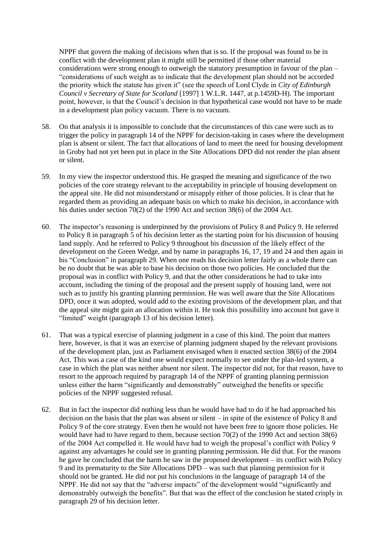NPPF that govern the making of decisions when that is so. If the proposal was found to be in conflict with the development plan it might still be permitted if those other material considerations were strong enough to outweigh the statutory presumption in favour of the plan – "considerations of such weight as to indicate that the development plan should not be accorded the priority which the statute has given it" (see the speech of Lord Clyde in *City of Edinburgh Council v Secretary of State for Scotland* [1997] 1 W.L.R. 1447, at p.1459D-H). The important point, however, is that the Council's decision in that hypothetical case would not have to be made in a development plan policy vacuum. There is no vacuum.

- 58. On that analysis it is impossible to conclude that the circumstances of this case were such as to trigger the policy in paragraph 14 of the NPPF for decision-taking in cases where the development plan is absent or silent. The fact that allocations of land to meet the need for housing development in Groby had not yet been put in place in the Site Allocations DPD did not render the plan absent or silent.
- 59. In my view the inspector understood this. He grasped the meaning and significance of the two policies of the core strategy relevant to the acceptability in principle of housing development on the appeal site. He did not misunderstand or misapply either of those policies. It is clear that he regarded them as providing an adequate basis on which to make his decision, in accordance with his duties under section 70(2) of the 1990 Act and section 38(6) of the 2004 Act.
- 60. The inspector's reasoning is underpinned by the provisions of Policy 8 and Policy 9. He referred to Policy 8 in paragraph 5 of his decision letter as the starting point for his discussion of housing land supply. And he referred to Policy 9 throughout his discussion of the likely effect of the development on the Green Wedge, and by name in paragraphs 16, 17, 19 and 24 and then again in his "Conclusion" in paragraph 29. When one reads his decision letter fairly as a whole there can be no doubt that he was able to base his decision on those two policies. He concluded that the proposal was in conflict with Policy 9, and that the other considerations he had to take into account, including the timing of the proposal and the present supply of housing land, were not such as to justify his granting planning permission. He was well aware that the Site Allocations DPD, once it was adopted, would add to the existing provisions of the development plan, and that the appeal site might gain an allocation within it. He took this possibility into account but gave it "limited" weight (paragraph 13 of his decision letter).
- 61. That was a typical exercise of planning judgment in a case of this kind. The point that matters here, however, is that it was an exercise of planning judgment shaped by the relevant provisions of the development plan, just as Parliament envisaged when it enacted section 38(6) of the 2004 Act. This was a case of the kind one would expect normally to see under the plan-led system, a case in which the plan was neither absent nor silent. The inspector did not, for that reason, have to resort to the approach required by paragraph 14 of the NPPF of granting planning permission unless either the harm "significantly and demonstrably" outweighed the benefits or specific policies of the NPPF suggested refusal.
- 62. But in fact the inspector did nothing less than he would have had to do if he had approached his decision on the basis that the plan was absent or silent – in spite of the existence of Policy 8 and Policy 9 of the core strategy. Even then he would not have been free to ignore those policies. He would have had to have regard to them, because section 70(2) of the 1990 Act and section 38(6) of the 2004 Act compelled it. He would have had to weigh the proposal's conflict with Policy 9 against any advantages he could see in granting planning permission. He did that. For the reasons he gave he concluded that the harm he saw in the proposed development – its conflict with Policy 9 and its prematurity to the Site Allocations DPD – was such that planning permission for it should not be granted. He did not put his conclusions in the language of paragraph 14 of the NPPF. He did not say that the "adverse impacts" of the development would "significantly and demonstrably outweigh the benefits". But that was the effect of the conclusion he stated crisply in paragraph 29 of his decision letter.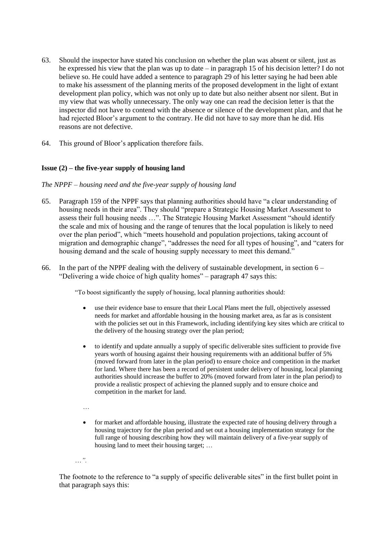- 63. Should the inspector have stated his conclusion on whether the plan was absent or silent, just as he expressed his view that the plan was up to date – in paragraph 15 of his decision letter? I do not believe so. He could have added a sentence to paragraph 29 of his letter saying he had been able to make his assessment of the planning merits of the proposed development in the light of extant development plan policy, which was not only up to date but also neither absent nor silent. But in my view that was wholly unnecessary. The only way one can read the decision letter is that the inspector did not have to contend with the absence or silence of the development plan, and that he had rejected Bloor's argument to the contrary. He did not have to say more than he did. His reasons are not defective.
- 64. This ground of Bloor's application therefore fails.

## **Issue (2) – the five-year supply of housing land**

## *The NPPF* – *housing need and the five-year supply of housing land*

- 65. Paragraph 159 of the NPPF says that planning authorities should have "a clear understanding of housing needs in their area". They should "prepare a Strategic Housing Market Assessment to assess their full housing needs …". The Strategic Housing Market Assessment "should identify the scale and mix of housing and the range of tenures that the local population is likely to need over the plan period", which "meets household and population projections, taking account of migration and demographic change", "addresses the need for all types of housing", and "caters for housing demand and the scale of housing supply necessary to meet this demand."
- 66. In the part of the NPPF dealing with the delivery of sustainable development, in section  $6 -$ "Delivering a wide choice of high quality homes" – paragraph 47 says this:

"To boost significantly the supply of housing, local planning authorities should:

- use their evidence base to ensure that their Local Plans meet the full, objectively assessed needs for market and affordable housing in the housing market area, as far as is consistent with the policies set out in this Framework, including identifying key sites which are critical to the delivery of the housing strategy over the plan period;
- to identify and update annually a supply of specific deliverable sites sufficient to provide five years worth of housing against their housing requirements with an additional buffer of 5% (moved forward from later in the plan period) to ensure choice and competition in the market for land. Where there has been a record of persistent under delivery of housing, local planning authorities should increase the buffer to 20% (moved forward from later in the plan period) to provide a realistic prospect of achieving the planned supply and to ensure choice and competition in the market for land.
- …
- for market and affordable housing, illustrate the expected rate of housing delivery through a housing trajectory for the plan period and set out a housing implementation strategy for the full range of housing describing how they will maintain delivery of a five-year supply of housing land to meet their housing target; …
- …*".*

The footnote to the reference to "a supply of specific deliverable sites" in the first bullet point in that paragraph says this: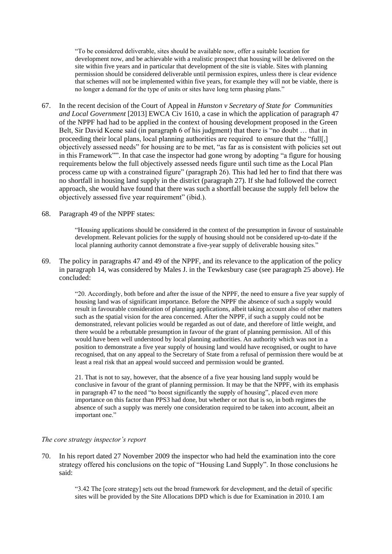"To be considered deliverable, sites should be available now, offer a suitable location for development now, and be achievable with a realistic prospect that housing will be delivered on the site within five years and in particular that development of the site is viable. Sites with planning permission should be considered deliverable until permission expires, unless there is clear evidence that schemes will not be implemented within five years, for example they will not be viable, there is no longer a demand for the type of units or sites have long term phasing plans."

67. In the recent decision of the Court of Appeal in *Hunston v Secretary of State for Communities and Local Government* [2013] EWCA Civ 1610, a case in which the application of paragraph 47 of the NPPF had had to be applied in the context of housing development proposed in the Green Belt, Sir David Keene said (in paragraph 6 of his judgment) that there is "no doubt … that in proceeding their local plans, local planning authorities are required to ensure that the "full[,] objectively assessed needs" for housing are to be met, "as far as is consistent with policies set out in this Framework"". In that case the inspector had gone wrong by adopting "a figure for housing requirements below the full objectively assessed needs figure until such time as the Local Plan process came up with a constrained figure" (paragraph 26). This had led her to find that there was no shortfall in housing land supply in the district (paragraph 27). If she had followed the correct approach, she would have found that there was such a shortfall because the supply fell below the objectively assessed five year requirement" (ibid.).

#### 68. Paragraph 49 of the NPPF states:

"Housing applications should be considered in the context of the presumption in favour of sustainable development. Relevant policies for the supply of housing should not be considered up-to-date if the local planning authority cannot demonstrate a five-year supply of deliverable housing sites."

69. The policy in paragraphs 47 and 49 of the NPPF, and its relevance to the application of the policy in paragraph 14, was considered by Males J. in the Tewkesbury case (see paragraph 25 above). He concluded:

> "20. Accordingly, both before and after the issue of the NPPF, the need to ensure a five year supply of housing land was of significant importance. Before the NPPF the absence of such a supply would result in favourable consideration of planning applications, albeit taking account also of other matters such as the spatial vision for the area concerned. After the NPPF, if such a supply could not be demonstrated, relevant policies would be regarded as out of date, and therefore of little weight, and there would be a rebuttable presumption in favour of the grant of planning permission. All of this would have been well understood by local planning authorities. An authority which was not in a position to demonstrate a five year supply of housing land would have recognised, or ought to have recognised, that on any appeal to the Secretary of State from a refusal of permission there would be at least a real risk that an appeal would succeed and permission would be granted.

21. That is not to say, however, that the absence of a five year housing land supply would be conclusive in favour of the grant of planning permission. It may be that the NPPF, with its emphasis in paragraph 47 to the need "to boost significantly the supply of housing", placed even more importance on this factor than PPS3 had done, but whether or not that is so, in both regimes the absence of such a supply was merely one consideration required to be taken into account, albeit an important one."

#### *The core strategy inspector's report*

70. In his report dated 27 November 2009 the inspector who had held the examination into the core strategy offered his conclusions on the topic of "Housing Land Supply". In those conclusions he said:

> "3.42 The [core strategy] sets out the broad framework for development, and the detail of specific sites will be provided by the Site Allocations DPD which is due for Examination in 2010. I am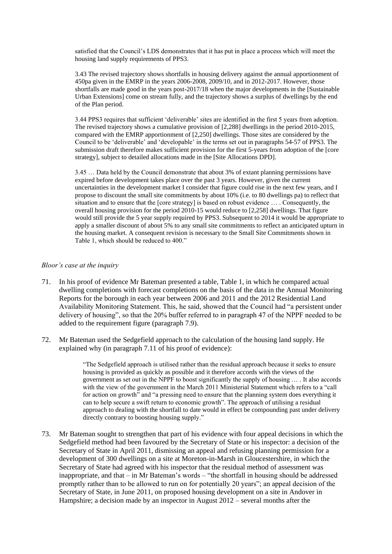satisfied that the Council's LDS demonstrates that it has put in place a process which will meet the housing land supply requirements of PPS3.

3.43 The revised trajectory shows shortfalls in housing delivery against the annual apportionment of 450pa given in the EMRP in the years 2006-2008, 2009/10, and in 2012-2017. However, those shortfalls are made good in the years post-2017/18 when the major developments in the [Sustainable Urban Extensions] come on stream fully, and the trajectory shows a surplus of dwellings by the end of the Plan period.

3.44 PPS3 requires that sufficient 'deliverable' sites are identified in the first 5 years from adoption. The revised trajectory shows a cumulative provision of [2,288] dwellings in the period 2010-2015, compared with the EMRP apportionment of [2,250] dwellings. Those sites are considered by the Council to be 'deliverable' and 'developable' in the terms set out in paragraphs 54-57 of PPS3. The submission draft therefore makes sufficient provision for the first 5-years from adoption of the [core strategy], subject to detailed allocations made in the [Site Allocations DPD].

3.45 … Data held by the Council demonstrate that about 3% of extant planning permissions have expired before development takes place over the past 3 years. However, given the current uncertainties in the development market I consider that figure could rise in the next few years, and I propose to discount the small site commitments by about 10% (i.e. to 80 dwellings pa) to reflect that situation and to ensure that the [core strategy] is based on robust evidence … . Consequently, the overall housing provision for the period 2010-15 would reduce to [2,258] dwellings. That figure would still provide the 5 year supply required by PPS3. Subsequent to 2014 it would be appropriate to apply a smaller discount of about 5% to any small site commitments to reflect an anticipated upturn in the housing market. A consequent revision is necessary to the Small Site Commitments shown in Table 1, which should be reduced to 400."

#### *Bloor's case at the inquiry*

- 71. In his proof of evidence Mr Bateman presented a table, Table 1, in which he compared actual dwelling completions with forecast completions on the basis of the data in the Annual Monitoring Reports for the borough in each year between 2006 and 2011 and the 2012 Residential Land Availability Monitoring Statement. This, he said, showed that the Council had "a persistent under delivery of housing", so that the 20% buffer referred to in paragraph 47 of the NPPF needed to be added to the requirement figure (paragraph 7.9).
- 72. Mr Bateman used the Sedgefield approach to the calculation of the housing land supply. He explained why (in paragraph 7.11 of his proof of evidence):

"The Sedgefield approach is utilised rather than the residual approach because it seeks to ensure housing is provided as quickly as possible and it therefore accords with the views of the government as set out in the NPPF to boost significantly the supply of housing … . It also accords with the view of the government in the March 2011 Ministerial Statement which refers to a "call for action on growth" and "a pressing need to ensure that the planning system does everything it can to help secure a swift return to economic growth". The approach of utilising a residual approach to dealing with the shortfall to date would in effect be compounding past under delivery directly contrary to boosting housing supply."

73. Mr Bateman sought to strengthen that part of his evidence with four appeal decisions in which the Sedgefield method had been favoured by the Secretary of State or his inspector: a decision of the Secretary of State in April 2011, dismissing an appeal and refusing planning permission for a development of 300 dwellings on a site at Moreton-in-Marsh in Gloucestershire, in which the Secretary of State had agreed with his inspector that the residual method of assessment was inappropriate, and that – in Mr Bateman's words – "the shortfall in housing should be addressed promptly rather than to be allowed to run on for potentially 20 years"; an appeal decision of the Secretary of State, in June 2011, on proposed housing development on a site in Andover in Hampshire; a decision made by an inspector in August 2012 – several months after the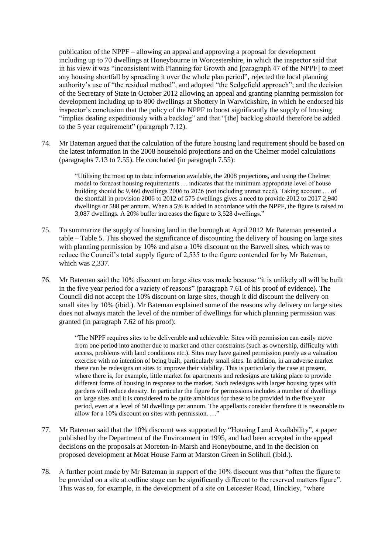publication of the NPPF – allowing an appeal and approving a proposal for development including up to 70 dwellings at Honeybourne in Worcestershire, in which the inspector said that in his view it was "inconsistent with Planning for Growth and [paragraph 47 of the NPPF] to meet any housing shortfall by spreading it over the whole plan period", rejected the local planning authority's use of "the residual method", and adopted "the Sedgefield approach"; and the decision of the Secretary of State in October 2012 allowing an appeal and granting planning permission for development including up to 800 dwellings at Shottery in Warwickshire, in which he endorsed his inspector's conclusion that the policy of the NPPF to boost significantly the supply of housing "implies dealing expeditiously with a backlog" and that "[the] backlog should therefore be added to the 5 year requirement" (paragraph 7.12).

74. Mr Bateman argued that the calculation of the future housing land requirement should be based on the latest information in the 2008 household projections and on the Chelmer model calculations (paragraphs 7.13 to 7.55). He concluded (in paragraph 7.55):

> "Utilising the most up to date information available, the 2008 projections, and using the Chelmer model to forecast housing requirements … indicates that the minimum appropriate level of house building should be 9,460 dwellings 2006 to 2026 (not including unmet need). Taking account … of the shortfall in provision 2006 to 2012 of 575 dwellings gives a need to provide 2012 to 2017 2,940 dwellings or 588 per annum. When a 5% is added in accordance with the NPPF, the figure is raised to 3,087 dwellings. A 20% buffer increases the figure to 3,528 dwellings."

- 75. To summarize the supply of housing land in the borough at April 2012 Mr Bateman presented a table – Table 5. This showed the significance of discounting the delivery of housing on large sites with planning permission by 10% and also a 10% discount on the Barwell sites, which was to reduce the Council's total supply figure of 2,535 to the figure contended for by Mr Bateman, which was 2,337.
- 76. Mr Bateman said the 10% discount on large sites was made because "it is unlikely all will be built in the five year period for a variety of reasons" (paragraph 7.61 of his proof of evidence). The Council did not accept the 10% discount on large sites, though it did discount the delivery on small sites by 10% (ibid.). Mr Bateman explained some of the reasons why delivery on large sites does not always match the level of the number of dwellings for which planning permission was granted (in paragraph 7.62 of his proof):

"The NPPF requires sites to be deliverable and achievable. Sites with permission can easily move from one period into another due to market and other constraints (such as ownership, difficulty with access, problems with land conditions etc.). Sites may have gained permission purely as a valuation exercise with no intention of being built, particularly small sites. In addition, in an adverse market there can be redesigns on sites to improve their viability. This is particularly the case at present, where there is, for example, little market for apartments and redesigns are taking place to provide different forms of housing in response to the market. Such redesigns with larger housing types with gardens will reduce density. In particular the figure for permissions includes a number of dwellings on large sites and it is considered to be quite ambitious for these to be provided in the five year period, even at a level of 50 dwellings per annum. The appellants consider therefore it is reasonable to allow for a 10% discount on sites with permission. …"

- 77. Mr Bateman said that the 10% discount was supported by "Housing Land Availability", a paper published by the Department of the Environment in 1995, and had been accepted in the appeal decisions on the proposals at Moreton-in-Marsh and Honeybourne, and in the decision on proposed development at Moat House Farm at Marston Green in Solihull (ibid.).
- 78. A further point made by Mr Bateman in support of the 10% discount was that "often the figure to be provided on a site at outline stage can be significantly different to the reserved matters figure". This was so, for example, in the development of a site on Leicester Road, Hinckley, "where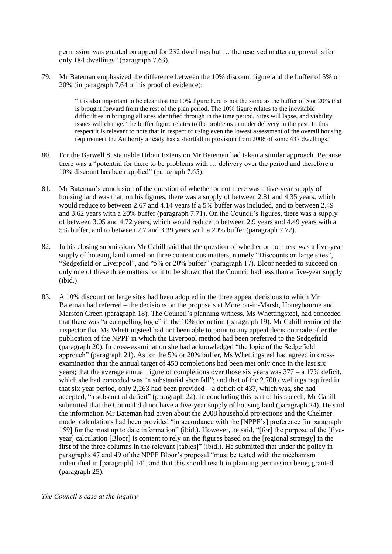permission was granted on appeal for 232 dwellings but … the reserved matters approval is for only 184 dwellings" (paragraph 7.63).

79. Mr Bateman emphasized the difference between the 10% discount figure and the buffer of 5% or 20% (in paragraph 7.64 of his proof of evidence):

> "It is also important to be clear that the 10% figure here is not the same as the buffer of 5 or 20% that is brought forward from the rest of the plan period. The 10% figure relates to the inevitable difficulties in bringing all sites identified through in the time period. Sites will lapse, and viability issues will change. The buffer figure relates to the problems in under delivery in the past. In this respect it is relevant to note that in respect of using even the lowest assessment of the overall housing requirement the Authority already has a shortfall in provision from 2006 of some 437 dwellings."

- 80. For the Barwell Sustainable Urban Extension Mr Bateman had taken a similar approach. Because there was a "potential for there to be problems with … delivery over the period and therefore a 10% discount has been applied" (paragraph 7.65).
- 81. Mr Bateman's conclusion of the question of whether or not there was a five-year supply of housing land was that, on his figures, there was a supply of between 2.81 and 4.35 years, which would reduce to between 2.67 and 4.14 years if a 5% buffer was included, and to between 2.49 and 3.62 years with a 20% buffer (paragraph 7.71). On the Council's figures, there was a supply of between 3.05 and 4.72 years, which would reduce to between 2.9 years and 4.49 years with a 5% buffer, and to between 2.7 and 3.39 years with a 20% buffer (paragraph 7.72).
- 82. In his closing submissions Mr Cahill said that the question of whether or not there was a five-year supply of housing land turned on three contentious matters, namely "Discounts on large sites", "Sedgefield or Liverpool", and "5% or 20% buffer" (paragraph 17). Bloor needed to succeed on only one of these three matters for it to be shown that the Council had less than a five-year supply (ibid.).
- 83. A 10% discount on large sites had been adopted in the three appeal decisions to which Mr Bateman had referred – the decisions on the proposals at Moreton-in-Marsh, Honeybourne and Marston Green (paragraph 18). The Council's planning witness, Ms Whettingsteel, had conceded that there was "a compelling logic" in the 10% deduction (paragraph 19). Mr Cahill reminded the inspector that Ms Whettingsteel had not been able to point to any appeal decision made after the publication of the NPPF in which the Liverpool method had been preferred to the Sedgefield (paragraph 20). In cross-examination she had acknowledged "the logic of the Sedgefield approach" (paragraph 21). As for the 5% or 20% buffer, Ms Whettingsteel had agreed in crossexamination that the annual target of 450 completions had been met only once in the last six years; that the average annual figure of completions over those six years was 377 – a 17% deficit, which she had conceded was "a substantial shortfall"; and that of the 2,700 dwellings required in that six year period, only 2,263 had been provided – a deficit of 437, which was, she had accepted, "a substantial deficit" (paragraph 22). In concluding this part of his speech, Mr Cahill submitted that the Council did not have a five-year supply of housing land (paragraph 24). He said the information Mr Bateman had given about the 2008 household projections and the Chelmer model calculations had been provided "in accordance with the [NPPF's] preference [in paragraph 159] for the most up to date information" (ibid.). However, he said, "[for] the purpose of the [fiveyear] calculation [Bloor] is content to rely on the figures based on the [regional strategy] in the first of the three columns in the relevant [tables]" (ibid.). He submitted that under the policy in paragraphs 47 and 49 of the NPPF Bloor's proposal "must be tested with the mechanism indentified in [paragraph] 14", and that this should result in planning permission being granted (paragraph 25).

*The Council's case at the inquiry*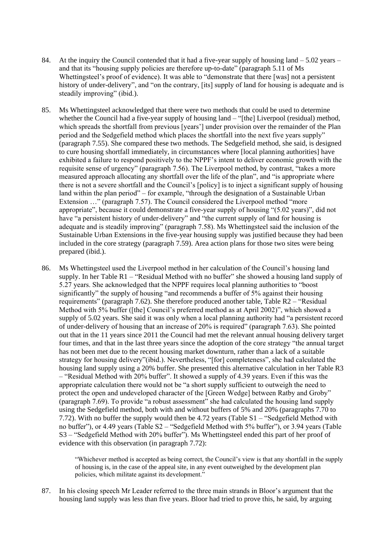- 84. At the inquiry the Council contended that it had a five-year supply of housing land  $-5.02$  years and that its "housing supply policies are therefore up-to-date" (paragraph 5.11 of Ms Whettingsteel's proof of evidence). It was able to "demonstrate that there [was] not a persistent history of under-delivery", and "on the contrary, [its] supply of land for housing is adequate and is steadily improving" (ibid.).
- 85. Ms Whettingsteel acknowledged that there were two methods that could be used to determine whether the Council had a five-year supply of housing land – "[the] Liverpool (residual) method, which spreads the shortfall from previous [years'] under provision over the remainder of the Plan period and the Sedgefield method which places the shortfall into the next five years supply" (paragraph 7.55). She compared these two methods. The Sedgefield method, she said, is designed to cure housing shortfall immediately, in circumstances where [local planning authorities] have exhibited a failure to respond positively to the NPPF's intent to deliver economic growth with the requisite sense of urgency" (paragraph 7.56). The Liverpool method, by contrast, "takes a more measured approach allocating any shortfall over the life of the plan", and "is appropriate where there is not a severe shortfall and the Council's [policy] is to inject a significant supply of housing land within the plan period" – for example, "through the designation of a Sustainable Urban Extension …" (paragraph 7.57). The Council considered the Liverpool method "more appropriate", because it could demonstrate a five-year supply of housing "(5.02 years)", did not have "a persistent history of under-delivery" and "the current supply of land for housing is adequate and is steadily improving" (paragraph 7.58). Ms Whettingsteel said the inclusion of the Sustainable Urban Extensions in the five-year housing supply was justified because they had been included in the core strategy (paragraph 7.59). Area action plans for those two sites were being prepared (ibid.).
- 86. Ms Whettingsteel used the Liverpool method in her calculation of the Council's housing land supply. In her Table R1 – "Residual Method with no buffer" she showed a housing land supply of 5.27 years. She acknowledged that the NPPF requires local planning authorities to "boost significantly" the supply of housing "and recommends a buffer of 5% against their housing requirements" (paragraph 7.62). She therefore produced another table, Table R2 – "Residual Method with 5% buffer ([the] Council's preferred method as at April 2002)", which showed a supply of 5.02 years. She said it was only when a local planning authority had "a persistent record of under-delivery of housing that an increase of 20% is required" (paragraph 7.63). She pointed out that in the 11 years since 2011 the Council had met the relevant annual housing delivery target four times, and that in the last three years since the adoption of the core strategy "the annual target has not been met due to the recent housing market downturn, rather than a lack of a suitable strategy for housing delivery"(ibid.). Nevertheless, "[for] completeness", she had calculated the housing land supply using a 20% buffer. She presented this alternative calculation in her Table R3 – "Residual Method with 20% buffer". It showed a supply of 4.39 years. Even if this was the appropriate calculation there would not be "a short supply sufficient to outweigh the need to protect the open and undeveloped character of the [Green Wedge] between Ratby and Groby" (paragraph 7.69). To provide "a robust assessment" she had calculated the housing land supply using the Sedgefield method, both with and without buffers of 5% and 20% (paragraphs 7.70 to 7.72). With no buffer the supply would then be 4.72 years (Table S1 – "Sedgefield Method with no buffer"), or 4.49 years (Table S2 – "Sedgefield Method with 5% buffer"), or 3.94 years (Table S3 – "Sedgefield Method with 20% buffer"). Ms Whettingsteel ended this part of her proof of evidence with this observation (in paragraph 7.72):

"Whichever method is accepted as being correct, the Council's view is that any shortfall in the supply of housing is, in the case of the appeal site, in any event outweighed by the development plan policies, which militate against its development."

87. In his closing speech Mr Leader referred to the three main strands in Bloor's argument that the housing land supply was less than five years. Bloor had tried to prove this, he said, by arguing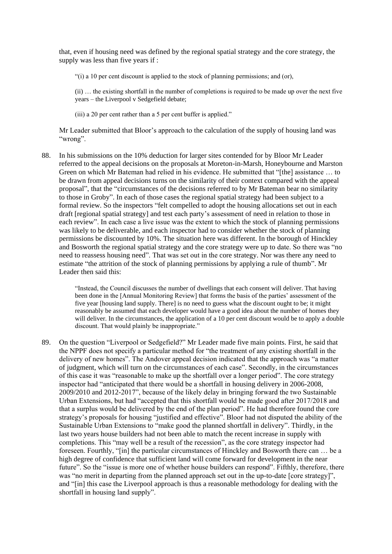that, even if housing need was defined by the regional spatial strategy and the core strategy, the supply was less than five years if :

"(i) a 10 per cent discount is applied to the stock of planning permissions; and (or),

(ii) … the existing shortfall in the number of completions is required to be made up over the next five years – the Liverpool v Sedgefield debate;

(iii) a 20 per cent rather than a 5 per cent buffer is applied."

Mr Leader submitted that Bloor's approach to the calculation of the supply of housing land was "wrong".

88. In his submissions on the 10% deduction for larger sites contended for by Bloor Mr Leader referred to the appeal decisions on the proposals at Moreton-in-Marsh, Honeybourne and Marston Green on which Mr Bateman had relied in his evidence. He submitted that "[the] assistance … to be drawn from appeal decisions turns on the similarity of their context compared with the appeal proposal", that the "circumstances of the decisions referred to by Mr Bateman bear no similarity to those in Groby". In each of those cases the regional spatial strategy had been subject to a formal review. So the inspectors "felt compelled to adopt the housing allocations set out in each draft [regional spatial strategy] and test each party's assessment of need in relation to those in each review". In each case a live issue was the extent to which the stock of planning permissions was likely to be deliverable, and each inspector had to consider whether the stock of planning permissions be discounted by 10%. The situation here was different. In the borough of Hinckley and Bosworth the regional spatial strategy and the core strategy were up to date. So there was "no need to reassess housing need". That was set out in the core strategy. Nor was there any need to estimate "the attrition of the stock of planning permissions by applying a rule of thumb". Mr Leader then said this:

> "Instead, the Council discusses the number of dwellings that each consent will deliver. That having been done in the [Annual Monitoring Review] that forms the basis of the parties' assessment of the five year [housing land supply. There] is no need to guess what the discount ought to be; it might reasonably be assumed that each developer would have a good idea about the number of homes they will deliver. In the circumstances, the application of a 10 per cent discount would be to apply a double discount. That would plainly be inappropriate."

89. On the question "Liverpool or Sedgefield?" Mr Leader made five main points. First, he said that the NPPF does not specify a particular method for "the treatment of any existing shortfall in the delivery of new homes". The Andover appeal decision indicated that the approach was "a matter of judgment, which will turn on the circumstances of each case". Secondly, in the circumstances of this case it was "reasonable to make up the shortfall over a longer period". The core strategy inspector had "anticipated that there would be a shortfall in housing delivery in 2006-2008, 2009/2010 and 2012-2017", because of the likely delay in bringing forward the two Sustainable Urban Extensions, but had "accepted that this shortfall would be made good after 2017/2018 and that a surplus would be delivered by the end of the plan period". He had therefore found the core strategy's proposals for housing "justified and effective". Bloor had not disputed the ability of the Sustainable Urban Extensions to "make good the planned shortfall in delivery". Thirdly, in the last two years house builders had not been able to match the recent increase in supply with completions. This "may well be a result of the recession", as the core strategy inspector had foreseen. Fourthly, "[in] the particular circumstances of Hinckley and Bosworth there can … be a high degree of confidence that sufficient land will come forward for development in the near future". So the "issue is more one of whether house builders can respond". Fifthly, therefore, there was "no merit in departing from the planned approach set out in the up-to-date [core strategy]", and "[in] this case the Liverpool approach is thus a reasonable methodology for dealing with the shortfall in housing land supply".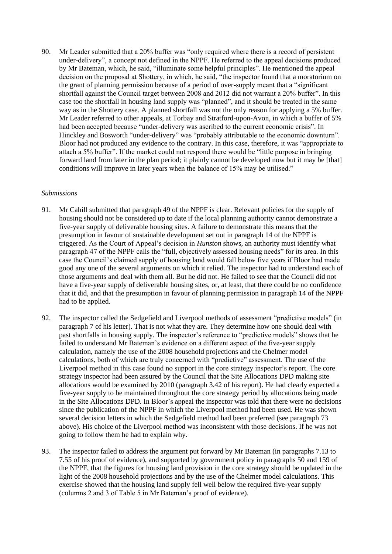90. Mr Leader submitted that a 20% buffer was "only required where there is a record of persistent under-delivery", a concept not defined in the NPPF. He referred to the appeal decisions produced by Mr Bateman, which, he said, "illuminate some helpful principles". He mentioned the appeal decision on the proposal at Shottery, in which, he said, "the inspector found that a moratorium on the grant of planning permission because of a period of over-supply meant that a "significant shortfall against the Council target between 2008 and 2012 did not warrant a 20% buffer". In this case too the shortfall in housing land supply was "planned", and it should be treated in the same way as in the Shottery case. A planned shortfall was not the only reason for applying a 5% buffer. Mr Leader referred to other appeals, at Torbay and Stratford-upon-Avon, in which a buffer of 5% had been accepted because "under-delivery was ascribed to the current economic crisis". In Hinckley and Bosworth "under-delivery" was "probably attributable to the economic downturn". Bloor had not produced any evidence to the contrary. In this case, therefore, it was "appropriate to attach a 5% buffer". If the market could not respond there would be "little purpose in bringing forward land from later in the plan period; it plainly cannot be developed now but it may be [that] conditions will improve in later years when the balance of 15% may be utilised."

#### *Submissions*

- 91. Mr Cahill submitted that paragraph 49 of the NPPF is clear. Relevant policies for the supply of housing should not be considered up to date if the local planning authority cannot demonstrate a five-year supply of deliverable housing sites. A failure to demonstrate this means that the presumption in favour of sustainable development set out in paragraph 14 of the NPPF is triggered. As the Court of Appeal's decision in *Hunston* shows, an authority must identify what paragraph 47 of the NPPF calls the "full, objectively assessed housing needs" for its area. In this case the Council's claimed supply of housing land would fall below five years if Bloor had made good any one of the several arguments on which it relied. The inspector had to understand each of those arguments and deal with them all. But he did not. He failed to see that the Council did not have a five-year supply of deliverable housing sites, or, at least, that there could be no confidence that it did, and that the presumption in favour of planning permission in paragraph 14 of the NPPF had to be applied.
- 92. The inspector called the Sedgefield and Liverpool methods of assessment "predictive models" (in paragraph 7 of his letter). That is not what they are. They determine how one should deal with past shortfalls in housing supply. The inspector's reference to "predictive models" shows that he failed to understand Mr Bateman's evidence on a different aspect of the five-year supply calculation, namely the use of the 2008 household projections and the Chelmer model calculations, both of which are truly concerned with "predictive" assessment. The use of the Liverpool method in this case found no support in the core strategy inspector's report. The core strategy inspector had been assured by the Council that the Site Allocations DPD making site allocations would be examined by 2010 (paragraph 3.42 of his report). He had clearly expected a five-year supply to be maintained throughout the core strategy period by allocations being made in the Site Allocations DPD. In Bloor's appeal the inspector was told that there were no decisions since the publication of the NPPF in which the Liverpool method had been used. He was shown several decision letters in which the Sedgefield method had been preferred (see paragraph 73 above). His choice of the Liverpool method was inconsistent with those decisions. If he was not going to follow them he had to explain why.
- 93. The inspector failed to address the argument put forward by Mr Bateman (in paragraphs 7.13 to 7.55 of his proof of evidence), and supported by government policy in paragraphs 50 and 159 of the NPPF, that the figures for housing land provision in the core strategy should be updated in the light of the 2008 household projections and by the use of the Chelmer model calculations. This exercise showed that the housing land supply fell well below the required five-year supply (columns 2 and 3 of Table 5 in Mr Bateman's proof of evidence).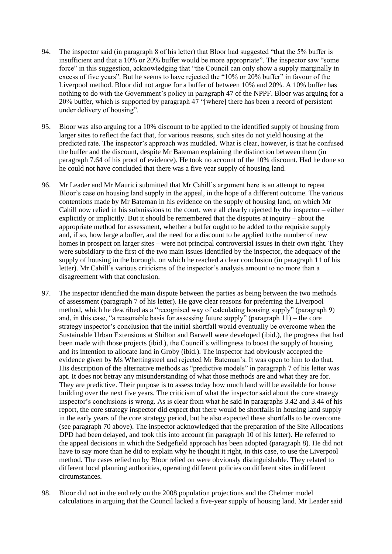- 94. The inspector said (in paragraph 8 of his letter) that Bloor had suggested "that the 5% buffer is insufficient and that a 10% or 20% buffer would be more appropriate". The inspector saw "some force" in this suggestion, acknowledging that "the Council can only show a supply marginally in excess of five years". But he seems to have rejected the "10% or 20% buffer" in favour of the Liverpool method. Bloor did not argue for a buffer of between 10% and 20%. A 10% buffer has nothing to do with the Government's policy in paragraph 47 of the NPPF. Bloor was arguing for a 20% buffer, which is supported by paragraph 47 "[where] there has been a record of persistent under delivery of housing".
- 95. Bloor was also arguing for a 10% discount to be applied to the identified supply of housing from larger sites to reflect the fact that, for various reasons, such sites do not yield housing at the predicted rate. The inspector's approach was muddled. What is clear, however, is that he confused the buffer and the discount, despite Mr Bateman explaining the distinction between them (in paragraph 7.64 of his proof of evidence). He took no account of the 10% discount. Had he done so he could not have concluded that there was a five year supply of housing land.
- 96. Mr Leader and Mr Maurici submitted that Mr Cahill's argument here is an attempt to repeat Bloor's case on housing land supply in the appeal, in the hope of a different outcome. The various contentions made by Mr Bateman in his evidence on the supply of housing land, on which Mr Cahill now relied in his submissions to the court, were all clearly rejected by the inspector – either explicitly or implicitly. But it should be remembered that the disputes at inquiry – about the appropriate method for assessment, whether a buffer ought to be added to the requisite supply and, if so, how large a buffer, and the need for a discount to be applied to the number of new homes in prospect on larger sites **–** were not principal controversial issues in their own right. They were subsidiary to the first of the two main issues identified by the inspector, the adequacy of the supply of housing in the borough, on which he reached a clear conclusion (in paragraph 11 of his letter). Mr Cahill's various criticisms of the inspector's analysis amount to no more than a disagreement with that conclusion.
- 97. The inspector identified the main dispute between the parties as being between the two methods of assessment (paragraph 7 of his letter). He gave clear reasons for preferring the Liverpool method, which he described as a "recognised way of calculating housing supply" (paragraph 9) and, in this case, "a reasonable basis for assessing future supply" (paragraph 11) – the core strategy inspector's conclusion that the initial shortfall would eventually be overcome when the Sustainable Urban Extensions at Shilton and Barwell were developed (ibid.), the progress that had been made with those projects (ibid.), the Council's willingness to boost the supply of housing and its intention to allocate land in Groby (ibid.). The inspector had obviously accepted the evidence given by Ms Whettingsteel and rejected Mr Bateman's. It was open to him to do that. His description of the alternative methods as "predictive models" in paragraph 7 of his letter was apt. It does not betray any misunderstanding of what those methods are and what they are for. They are predictive. Their purpose is to assess today how much land will be available for house building over the next five years. The criticism of what the inspector said about the core strategy inspector's conclusions is wrong. As is clear from what he said in paragraphs 3.42 and 3.44 of his report, the core strategy inspector did expect that there would be shortfalls in housing land supply in the early years of the core strategy period, but he also expected these shortfalls to be overcome (see paragraph 70 above). The inspector acknowledged that the preparation of the Site Allocations DPD had been delayed, and took this into account (in paragraph 10 of his letter). He referred to the appeal decisions in which the Sedgefield approach has been adopted (paragraph 8). He did not have to say more than he did to explain why he thought it right, in this case, to use the Liverpool method. The cases relied on by Bloor relied on were obviously distinguishable. They related to different local planning authorities, operating different policies on different sites in different circumstances.
- 98. Bloor did not in the end rely on the 2008 population projections and the Chelmer model calculations in arguing that the Council lacked a five-year supply of housing land. Mr Leader said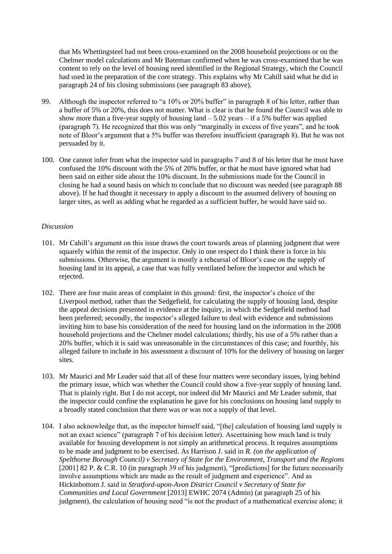that Ms Whettingsteel had not been cross-examined on the 2008 household projections or on the Chelmer model calculations and Mr Bateman confirmed when he was cross-examined that he was content to rely on the level of housing need identified in the Regional Strategy, which the Council had used in the preparation of the core strategy. This explains why Mr Cahill said what he did in paragraph 24 of his closing submissions (see paragraph 83 above).

- 99. Although the inspector referred to "a 10% or 20% buffer" in paragraph 8 of his letter, rather than a buffer of 5% or 20%, this does not matter. What is clear is that he found the Council was able to show more than a five-year supply of housing land  $-5.02$  years  $-$  if a 5% buffer was applied (paragraph 7). He recognized that this was only "marginally in excess of five years", and he took note of Bloor's argument that a 5% buffer was therefore insufficient (paragraph 8). But he was not persuaded by it.
- 100. One cannot infer from what the inspector said in paragraphs 7 and 8 of his letter that he must have confused the 10% discount with the 5% of 20% buffer, or that he must have ignored what had been said on either side about the 10% discount. In the submissions made for the Council in closing he had a sound basis on which to conclude that no discount was needed (see paragraph 88 above). If he had thought it necessary to apply a discount to the assumed delivery of housing on larger sites, as well as adding what he regarded as a sufficient buffer, he would have said so.

## *Discussion*

- 101. Mr Cahill's argument on this issue draws the court towards areas of planning judgment that were squarely within the remit of the inspector. Only in one respect do I think there is force in his submissions. Otherwise, the argument is mostly a rehearsal of Bloor's case on the supply of housing land in its appeal, a case that was fully ventilated before the inspector and which he rejected.
- 102. There are four main areas of complaint in this ground: first, the inspector's choice of the Liverpool method, rather than the Sedgefield, for calculating the supply of housing land, despite the appeal decisions presented in evidence at the inquiry, in which the Sedgefield method had been preferred; secondly, the inspector's alleged failure to deal with evidence and submissions inviting him to base his consideration of the need for housing land on the information in the 2008 household projections and the Chelmer model calculations; thirdly, his use of a 5% rather than a 20% buffer, which it is said was unreasonable in the circumstances of this case; and fourthly, his alleged failure to include in his assessment a discount of 10% for the delivery of housing on larger sites.
- 103. Mr Maurici and Mr Leader said that all of these four matters were secondary issues, lying behind the primary issue, which was whether the Council could show a five-year supply of housing land. That is plainly right. But I do not accept, nor indeed did Mr Maurici and Mr Leader submit, that the inspector could confine the explanation he gave for his conclusions on housing land supply to a broadly stated conclusion that there was or was not a supply of that level.
- 104. I also acknowledge that, as the inspector himself said, "[the] calculation of housing land supply is not an exact science" (paragraph 7 of his decision letter). Ascertaining how much land is truly available for housing development is not simply an arithmetical process. It requires assumptions to be made and judgment to be exercised. As Harrison J. said in *R. (on the application of Spelthorne Borough Council) v Secretary of State for the Environment, Transport and the Regions*  [2001] 82 P. & C.R. 10 (in paragraph 39 of his judgment), "[predictions] for the future necessarily involve assumptions which are made as the result of judgment and experience". And as Hickinbottom J. said in *Stratford-upon-Avon District Council v Secretary of State for Communities and Local Government* [2013] EWHC 2074 (Admin) (at paragraph 25 of his judgment), the calculation of housing need "is not the product of a mathematical exercise alone; it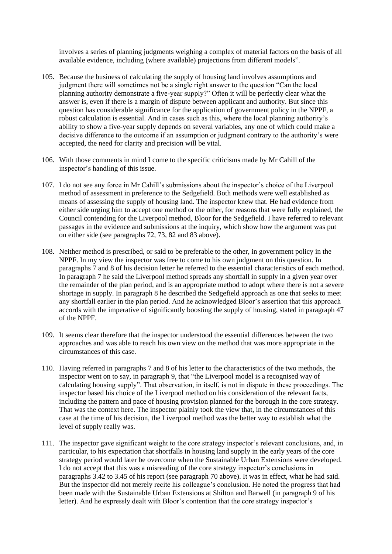involves a series of planning judgments weighing a complex of material factors on the basis of all available evidence, including (where available) projections from different models".

- 105. Because the business of calculating the supply of housing land involves assumptions and judgment there will sometimes not be a single right answer to the question "Can the local planning authority demonstrate a five-year supply?" Often it will be perfectly clear what the answer is, even if there is a margin of dispute between applicant and authority. But since this question has considerable significance for the application of government policy in the NPPF, a robust calculation is essential. And in cases such as this, where the local planning authority's ability to show a five-year supply depends on several variables, any one of which could make a decisive difference to the outcome if an assumption or judgment contrary to the authority's were accepted, the need for clarity and precision will be vital.
- 106. With those comments in mind I come to the specific criticisms made by Mr Cahill of the inspector's handling of this issue.
- 107. I do not see any force in Mr Cahill's submissions about the inspector's choice of the Liverpool method of assessment in preference to the Sedgefield. Both methods were well established as means of assessing the supply of housing land. The inspector knew that. He had evidence from either side urging him to accept one method or the other, for reasons that were fully explained, the Council contending for the Liverpool method, Bloor for the Sedgefield. I have referred to relevant passages in the evidence and submissions at the inquiry, which show how the argument was put on either side (see paragraphs 72, 73, 82 and 83 above).
- 108. Neither method is prescribed, or said to be preferable to the other, in government policy in the NPPF. In my view the inspector was free to come to his own judgment on this question. In paragraphs 7 and 8 of his decision letter he referred to the essential characteristics of each method. In paragraph 7 he said the Liverpool method spreads any shortfall in supply in a given year over the remainder of the plan period, and is an appropriate method to adopt where there is not a severe shortage in supply. In paragraph 8 he described the Sedgefield approach as one that seeks to meet any shortfall earlier in the plan period. And he acknowledged Bloor's assertion that this approach accords with the imperative of significantly boosting the supply of housing, stated in paragraph 47 of the NPPF.
- 109. It seems clear therefore that the inspector understood the essential differences between the two approaches and was able to reach his own view on the method that was more appropriate in the circumstances of this case.
- 110. Having referred in paragraphs 7 and 8 of his letter to the characteristics of the two methods, the inspector went on to say, in paragraph 9, that "the Liverpool model is a recognised way of calculating housing supply". That observation, in itself, is not in dispute in these proceedings. The inspector based his choice of the Liverpool method on his consideration of the relevant facts, including the pattern and pace of housing provision planned for the borough in the core strategy. That was the context here. The inspector plainly took the view that, in the circumstances of this case at the time of his decision, the Liverpool method was the better way to establish what the level of supply really was.
- 111. The inspector gave significant weight to the core strategy inspector's relevant conclusions, and, in particular, to his expectation that shortfalls in housing land supply in the early years of the core strategy period would later be overcome when the Sustainable Urban Extensions were developed. I do not accept that this was a misreading of the core strategy inspector's conclusions in paragraphs 3.42 to 3.45 of his report (see paragraph 70 above). It was in effect, what he had said. But the inspector did not merely recite his colleague's conclusion. He noted the progress that had been made with the Sustainable Urban Extensions at Shilton and Barwell (in paragraph 9 of his letter). And he expressly dealt with Bloor's contention that the core strategy inspector's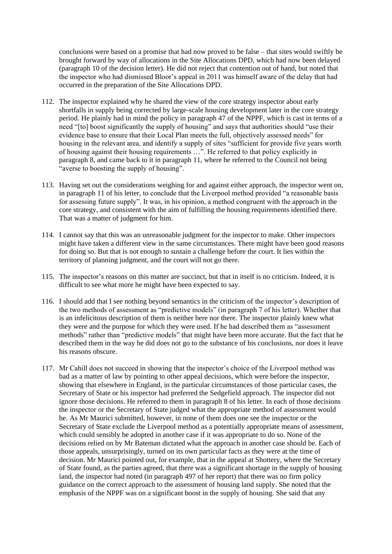conclusions were based on a promise that had now proved to be false – that sites would swiftly be brought forward by way of allocations in the Site Allocations DPD, which had now been delayed (paragraph 10 of the decision letter). He did not reject that contention out of hand, but noted that the inspector who had dismissed Bloor's appeal in 2011 was himself aware of the delay that had occurred in the preparation of the Site Allocations DPD.

- 112. The inspector explained why he shared the view of the core strategy inspector about early shortfalls in supply being corrected by large-scale housing development later in the core strategy period. He plainly had in mind the policy in paragraph 47 of the NPPF, which is cast in terms of a need "[to] boost significantly the supply of housing" and says that authorities should "use their evidence base to ensure that their Local Plan meets the full, objectively assessed needs" for housing in the relevant area, and identify a supply of sites "sufficient for provide five years worth of housing against their housing requirements …". He referred to that policy explicitly in paragraph 8, and came back to it in paragraph 11, where he referred to the Council not being "averse to boosting the supply of housing".
- 113. Having set out the considerations weighing for and against either approach, the inspector went on, in paragraph 11 of his letter, to conclude that the Liverpool method provided "a reasonable basis for assessing future supply". It was, in his opinion, a method congruent with the approach in the core strategy, and consistent with the aim of fulfilling the housing requirements identified there. That was a matter of judgment for him.
- 114. I cannot say that this was an unreasonable judgment for the inspector to make. Other inspectors might have taken a different view in the same circumstances. There might have been good reasons for doing so. But that is not enough to sustain a challenge before the court. It lies within the territory of planning judgment, and the court will not go there.
- 115. The inspector's reasons on this matter are succinct, but that in itself is no criticism. Indeed, it is difficult to see what more he might have been expected to say.
- 116. I should add that I see nothing beyond semantics in the criticism of the inspector's description of the two methods of assessment as "predictive models" (in paragraph 7 of his letter). Whether that is an infelicitous description of them is neither here nor there. The inspector plainly knew what they were and the purpose for which they were used. If he had described them as "assessment methods" rather than "predictive models" that might have been more accurate. But the fact that he described them in the way he did does not go to the substance of his conclusions, nor does it leave his reasons obscure.
- 117. Mr Cahill does not succeed in showing that the inspector's choice of the Liverpool method was bad as a matter of law by pointing to other appeal decisions, which were before the inspector, showing that elsewhere in England, in the particular circumstances of those particular cases, the Secretary of State or his inspector had preferred the Sedgefield approach. The inspector did not ignore those decisions. He referred to them in paragraph 8 of his letter. In each of those decisions the inspector or the Secretary of State judged what the appropriate method of assessment would be. As Mr Maurici submitted, however, in none of them does one see the inspector or the Secretary of State exclude the Liverpool method as a potentially appropriate means of assessment, which could sensibly be adopted in another case if it was appropriate to do so. None of the decisions relied on by Mr Bateman dictated what the approach in another case should be. Each of those appeals, unsurprisingly, turned on its own particular facts as they were at the time of decision. Mr Maurici pointed out, for example, that in the appeal at Shottery, where the Secretary of State found, as the parties agreed, that there was a significant shortage in the supply of housing land, the inspector had noted (in paragraph 497 of her report) that there was no firm policy guidance on the correct approach to the assessment of housing land supply. She noted that the emphasis of the NPPF was on a significant boost in the supply of housing. She said that any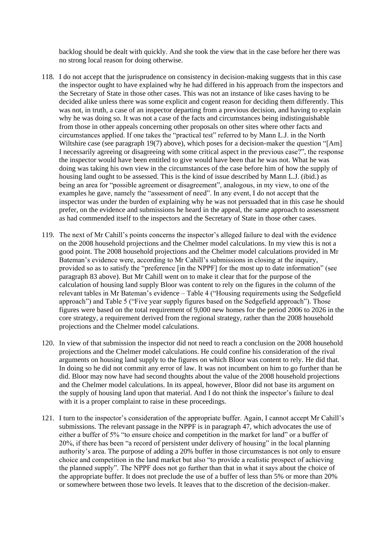backlog should be dealt with quickly. And she took the view that in the case before her there was no strong local reason for doing otherwise.

- 118. I do not accept that the jurisprudence on consistency in decision-making suggests that in this case the inspector ought to have explained why he had differed in his approach from the inspectors and the Secretary of State in those other cases. This was not an instance of like cases having to be decided alike unless there was some explicit and cogent reason for deciding them differently. This was not, in truth, a case of an inspector departing from a previous decision, and having to explain why he was doing so. It was not a case of the facts and circumstances being indistinguishable from those in other appeals concerning other proposals on other sites where other facts and circumstances applied. If one takes the "practical test" referred to by Mann L.J. in the North Wiltshire case (see paragraph 19(7) above), which poses for a decision-maker the question "[Am] I necessarily agreeing or disagreeing with some critical aspect in the previous case?", the response the inspector would have been entitled to give would have been that he was not. What he was doing was taking his own view in the circumstances of the case before him of how the supply of housing land ought to be assessed. This is the kind of issue described by Mann L.J. (ibid.) as being an area for "possible agreement or disagreement", analogous, in my view, to one of the examples he gave, namely the "assessment of need". In any event, I do not accept that the inspector was under the burden of explaining why he was not persuaded that in this case he should prefer, on the evidence and submissions he heard in the appeal, the same approach to assessment as had commended itself to the inspectors and the Secretary of State in those other cases.
- 119. The next of Mr Cahill's points concerns the inspector's alleged failure to deal with the evidence on the 2008 household projections and the Chelmer model calculations. In my view this is not a good point. The 2008 household projections and the Chelmer model calculations provided in Mr Bateman's evidence were, according to Mr Cahill's submissions in closing at the inquiry, provided so as to satisfy the "preference [in the NPPF] for the most up to date information" (see paragraph 83 above). But Mr Cahill went on to make it clear that for the purpose of the calculation of housing land supply Bloor was content to rely on the figures in the column of the relevant tables in Mr Bateman's evidence – Table 4 ("Housing requirements using the Sedgefield approach") and Table 5 ("Five year supply figures based on the Sedgefield approach"). Those figures were based on the total requirement of 9,000 new homes for the period 2006 to 2026 in the core strategy, a requirement derived from the regional strategy, rather than the 2008 household projections and the Chelmer model calculations.
- 120. In view of that submission the inspector did not need to reach a conclusion on the 2008 household projections and the Chelmer model calculations. He could confine his consideration of the rival arguments on housing land supply to the figures on which Bloor was content to rely. He did that. In doing so he did not commit any error of law. It was not incumbent on him to go further than he did. Bloor may now have had second thoughts about the value of the 2008 household projections and the Chelmer model calculations. In its appeal, however, Bloor did not base its argument on the supply of housing land upon that material. And I do not think the inspector's failure to deal with it is a proper complaint to raise in these proceedings.
- 121. I turn to the inspector's consideration of the appropriate buffer. Again, I cannot accept Mr Cahill's submissions. The relevant passage in the NPPF is in paragraph 47, which advocates the use of either a buffer of 5% "to ensure choice and competition in the market for land" or a buffer of 20%, if there has been "a record of persistent under delivery of housing" in the local planning authority's area. The purpose of adding a 20% buffer in those circumstances is not only to ensure choice and competition in the land market but also "to provide a realistic prospect of achieving the planned supply". The NPPF does not go further than that in what it says about the choice of the appropriate buffer. It does not preclude the use of a buffer of less than 5% or more than 20% or somewhere between those two levels. It leaves that to the discretion of the decision-maker.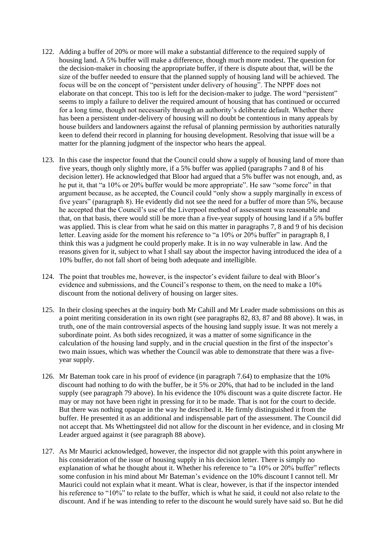- 122. Adding a buffer of 20% or more will make a substantial difference to the required supply of housing land. A 5% buffer will make a difference, though much more modest. The question for the decision-maker in choosing the appropriate buffer, if there is dispute about that, will be the size of the buffer needed to ensure that the planned supply of housing land will be achieved. The focus will be on the concept of "persistent under delivery of housing". The NPPF does not elaborate on that concept. This too is left for the decision-maker to judge. The word "persistent" seems to imply a failure to deliver the required amount of housing that has continued or occurred for a long time, though not necessarily through an authority's deliberate default. Whether there has been a persistent under-delivery of housing will no doubt be contentious in many appeals by house builders and landowners against the refusal of planning permission by authorities naturally keen to defend their record in planning for housing development. Resolving that issue will be a matter for the planning judgment of the inspector who hears the appeal.
- 123. In this case the inspector found that the Council could show a supply of housing land of more than five years, though only slightly more, if a 5% buffer was applied (paragraphs 7 and 8 of his decision letter). He acknowledged that Bloor had argued that a 5% buffer was not enough, and, as he put it, that "a 10% or 20% buffer would be more appropriate". He saw "some force" in that argument because, as he accepted, the Council could "only show a supply marginally in excess of five years" (paragraph 8). He evidently did not see the need for a buffer of more than 5%, because he accepted that the Council's use of the Liverpool method of assessment was reasonable and that, on that basis, there would still be more than a five-year supply of housing land if a 5% buffer was applied. This is clear from what he said on this matter in paragraphs 7, 8 and 9 of his decision letter. Leaving aside for the moment his reference to "a 10% or 20% buffer" in paragraph 8, I think this was a judgment he could properly make. It is in no way vulnerable in law. And the reasons given for it, subject to what I shall say about the inspector having introduced the idea of a 10% buffer, do not fall short of being both adequate and intelligible.
- 124. The point that troubles me, however, is the inspector's evident failure to deal with Bloor's evidence and submissions, and the Council's response to them, on the need to make a 10% discount from the notional delivery of housing on larger sites.
- 125. In their closing speeches at the inquiry both Mr Cahill and Mr Leader made submissions on this as a point meriting consideration in its own right (see paragraphs 82, 83, 87 and 88 above). It was, in truth, one of the main controversial aspects of the housing land supply issue. It was not merely a subordinate point. As both sides recognized, it was a matter of some significance in the calculation of the housing land supply, and in the crucial question in the first of the inspector's two main issues, which was whether the Council was able to demonstrate that there was a fiveyear supply.
- 126. Mr Bateman took care in his proof of evidence (in paragraph 7.64) to emphasize that the 10% discount had nothing to do with the buffer, be it 5% or 20%, that had to be included in the land supply (see paragraph 79 above). In his evidence the 10% discount was a quite discrete factor. He may or may not have been right in pressing for it to be made. That is not for the court to decide. But there was nothing opaque in the way he described it. He firmly distinguished it from the buffer. He presented it as an additional and indispensable part of the assessment. The Council did not accept that. Ms Whettingsteel did not allow for the discount in her evidence, and in closing Mr Leader argued against it (see paragraph 88 above).
- 127. As Mr Maurici acknowledged, however, the inspector did not grapple with this point anywhere in his consideration of the issue of housing supply in his decision letter. There is simply no explanation of what he thought about it. Whether his reference to "a 10% or 20% buffer" reflects some confusion in his mind about Mr Bateman's evidence on the 10% discount I cannot tell. Mr Maurici could not explain what it meant. What is clear, however, is that if the inspector intended his reference to "10%" to relate to the buffer, which is what he said, it could not also relate to the discount. And if he was intending to refer to the discount he would surely have said so. But he did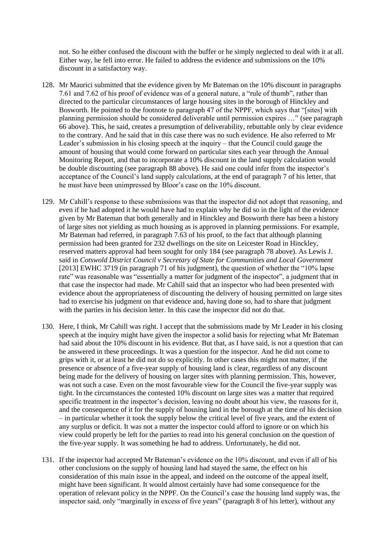not. So he either confused the discount with the buffer or he simply neglected to deal with it at all. Either way, he fell into error. He failed to address the evidence and submissions on the 10% discount in a satisfactory way.

- 128. Mr Maurici submitted that the evidence given by Mr Bateman on the 10% discount in paragraphs 7.61 and 7.62 of his proof of evidence was of a general nature, a "rule of thumb", rather than directed to the particular circumstances of large housing sites in the borough of Hinckley and Bosworth. He pointed to the footnote to paragraph 47 of the NPPF, which says that "[sites] with planning permission should be considered deliverable until permission expires …" (see paragraph 66 above). This, he said, creates a presumption of deliverability, rebuttable only by clear evidence to the contrary. And he said that in this case there was no such evidence. He also referred to Mr Leader's submission in his closing speech at the inquiry – that the Council could gauge the amount of housing that would come forward on particular sites each year through the Annual Monitoring Report, and that to incorporate a 10% discount in the land supply calculation would be double discounting (see paragraph 88 above). He said one could infer from the inspector's acceptance of the Council's land supply calculations, at the end of paragraph 7 of his letter, that he must have been unimpressed by Bloor's case on the 10% discount.
- 129. Mr Cahill's response to these submissions was that the inspector did not adopt that reasoning, and even if he had adopted it he would have had to explain why he did so in the light of the evidence given by Mr Bateman that both generally and in Hinckley and Bosworth there has been a history of large sites not yielding as much housing as is approved in planning permissions. For example, Mr Bateman had referred, in paragraph 7.63 of his proof, to the fact that although planning permission had been granted for 232 dwellings on the site on Leicester Road in Hinckley, reserved matters approval had been sought for only 184 (see paragraph 78 above). As Lewis J. said in *Cotswold District Council v Secretary of State for Communities and Local Government*  [2013] EWHC 3719 (in paragraph 71 of his judgment), the question of whether the "10% lapse rate" was reasonable was "essentially a matter for judgment of the inspector", a judgment that in that case the inspector had made. Mr Cahill said that an inspector who had been presented with evidence about the appropriateness of discounting the delivery of housing permitted on large sites had to exercise his judgment on that evidence and, having done so, had to share that judgment with the parties in his decision letter. In this case the inspector did not do that.
- 130. Here, I think, Mr Cahill was right. I accept that the submissions made by Mr Leader in his closing speech at the inquiry might have given the inspector a solid basis for rejecting what Mr Bateman had said about the 10% discount in his evidence. But that, as I have said, is not a question that can be answered in these proceedings. It was a question for the inspector. And he did not come to grips with it, or at least he did not do so explicitly. In other cases this might not matter, if the presence or absence of a five-year supply of housing land is clear, regardless of any discount being made for the delivery of housing on larger sites with planning permission. This, however, was not such a case. Even on the most favourable view for the Council the five-year supply was tight. In the circumstances the contested 10% discount on large sites was a matter that required specific treatment in the inspector's decision, leaving no doubt about his view, the reasons for it, and the consequence of it for the supply of housing land in the borough at the time of his decision – in particular whether it took the supply below the critical level of five years, and the extent of any surplus or deficit. It was not a matter the inspector could afford to ignore or on which his view could properly be left for the parties to read into his general conclusion on the question of the five-year supply. It was something he had to address. Unfortunately, he did not.
- 131. If the inspector had accepted Mr Bateman's evidence on the 10% discount, and even if all of his other conclusions on the supply of housing land had stayed the same, the effect on his consideration of this main issue in the appeal, and indeed on the outcome of the appeal itself, might have been significant. It would almost certainly have had some consequence for the operation of relevant policy in the NPPF. On the Council's case the housing land supply was, the inspector said, only "marginally in excess of five years" (paragraph 8 of his letter), without any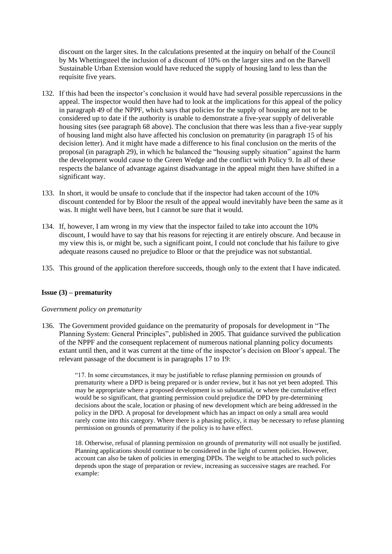discount on the larger sites. In the calculations presented at the inquiry on behalf of the Council by Ms Whettingsteel the inclusion of a discount of 10% on the larger sites and on the Barwell Sustainable Urban Extension would have reduced the supply of housing land to less than the requisite five years.

- 132. If this had been the inspector's conclusion it would have had several possible repercussions in the appeal. The inspector would then have had to look at the implications for this appeal of the policy in paragraph 49 of the NPPF, which says that policies for the supply of housing are not to be considered up to date if the authority is unable to demonstrate a five-year supply of deliverable housing sites (see paragraph 68 above). The conclusion that there was less than a five-year supply of housing land might also have affected his conclusion on prematurity (in paragraph 15 of his decision letter). And it might have made a difference to his final conclusion on the merits of the proposal (in paragraph 29), in which he balanced the "housing supply situation" against the harm the development would cause to the Green Wedge and the conflict with Policy 9. In all of these respects the balance of advantage against disadvantage in the appeal might then have shifted in a significant way.
- 133. In short, it would be unsafe to conclude that if the inspector had taken account of the 10% discount contended for by Bloor the result of the appeal would inevitably have been the same as it was. It might well have been, but I cannot be sure that it would.
- 134. If, however, I am wrong in my view that the inspector failed to take into account the 10% discount, I would have to say that his reasons for rejecting it are entirely obscure. And because in my view this is, or might be, such a significant point, I could not conclude that his failure to give adequate reasons caused no prejudice to Bloor or that the prejudice was not substantial.
- 135. This ground of the application therefore succeeds, though only to the extent that I have indicated.

## **Issue (3) – prematurity**

## *Government policy on prematurity*

136. The Government provided guidance on the prematurity of proposals for development in "The Planning System: General Principles", published in 2005. That guidance survived the publication of the NPPF and the consequent replacement of numerous national planning policy documents extant until then, and it was current at the time of the inspector's decision on Bloor's appeal. The relevant passage of the document is in paragraphs 17 to 19:

> "17. In some circumstances, it may be justifiable to refuse planning permission on grounds of prematurity where a DPD is being prepared or is under review, but it has not yet been adopted. This may be appropriate where a proposed development is so substantial, or where the cumulative effect would be so significant, that granting permission could prejudice the DPD by pre-determining decisions about the scale, location or phasing of new development which are being addressed in the policy in the DPD. A proposal for development which has an impact on only a small area would rarely come into this category. Where there is a phasing policy, it may be necessary to refuse planning permission on grounds of prematurity if the policy is to have effect.

18. Otherwise, refusal of planning permission on grounds of prematurity will not usually be justified. Planning applications should continue to be considered in the light of current policies. However, account can also be taken of policies in emerging DPDs. The weight to be attached to such policies depends upon the stage of preparation or review, increasing as successive stages are reached. For example: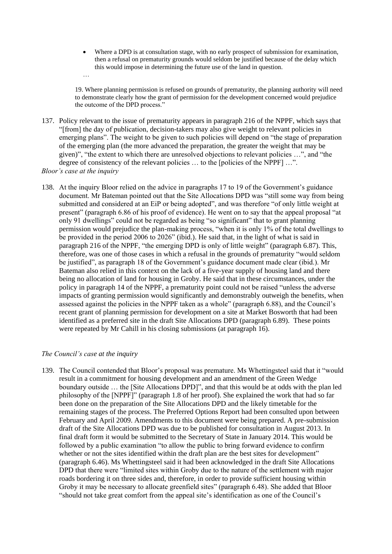Where a DPD is at consultation stage, with no early prospect of submission for examination, then a refusal on prematurity grounds would seldom be justified because of the delay which this would impose in determining the future use of the land in question.

19. Where planning permission is refused on grounds of prematurity, the planning authority will need to demonstrate clearly how the grant of permission for the development concerned would prejudice the outcome of the DPD process."

137. Policy relevant to the issue of prematurity appears in paragraph 216 of the NPPF, which says that "[from] the day of publication, decision-takers may also give weight to relevant policies in emerging plans". The weight to be given to such policies will depend on "the stage of preparation of the emerging plan (the more advanced the preparation, the greater the weight that may be given)", "the extent to which there are unresolved objections to relevant policies …", and "the degree of consistency of the relevant policies ... to the [policies of the NPPF] ...".

*Bloor's case at the inquiry*

…

138. At the inquiry Bloor relied on the advice in paragraphs 17 to 19 of the Government's guidance document. Mr Bateman pointed out that the Site Allocations DPD was "still some way from being submitted and considered at an EiP or being adopted", and was therefore "of only little weight at present" (paragraph 6.86 of his proof of evidence). He went on to say that the appeal proposal "at only 91 dwellings" could not be regarded as being "so significant" that to grant planning permission would prejudice the plan-making process, "when it is only 1% of the total dwellings to be provided in the period 2006 to 2026" (ibid.). He said that, in the light of what is said in paragraph 216 of the NPPF, "the emerging DPD is only of little weight" (paragraph 6.87). This, therefore, was one of those cases in which a refusal in the grounds of prematurity "would seldom be justified", as paragraph 18 of the Government's guidance document made clear (ibid.). Mr Bateman also relied in this context on the lack of a five-year supply of housing land and there being no allocation of land for housing in Groby. He said that in these circumstances, under the policy in paragraph 14 of the NPPF, a prematurity point could not be raised "unless the adverse impacts of granting permission would significantly and demonstrably outweigh the benefits, when assessed against the policies in the NPPF taken as a whole" (paragraph 6.88), and the Council's recent grant of planning permission for development on a site at Market Bosworth that had been identified as a preferred site in the draft Site Allocations DPD (paragraph 6.89). These points were repeated by Mr Cahill in his closing submissions (at paragraph 16).

#### *The Council's case at the inquiry*

139. The Council contended that Bloor's proposal was premature. Ms Whettingsteel said that it "would result in a commitment for housing development and an amendment of the Green Wedge boundary outside … the [Site Allocations DPD]", and that this would be at odds with the plan led philosophy of the [NPPF]" (paragraph 1.8 of her proof). She explained the work that had so far been done on the preparation of the Site Allocations DPD and the likely timetable for the remaining stages of the process. The Preferred Options Report had been consulted upon between February and April 2009. Amendments to this document were being prepared. A pre-submission draft of the Site Allocations DPD was due to be published for consultation in August 2013. In final draft form it would be submitted to the Secretary of State in January 2014. This would be followed by a public examination "to allow the public to bring forward evidence to confirm whether or not the sites identified within the draft plan are the best sites for development" (paragraph 6.46). Ms Whettingsteel said it had been acknowledged in the draft Site Allocations DPD that there were "limited sites within Groby due to the nature of the settlement with major roads bordering it on three sides and, therefore, in order to provide sufficient housing within Groby it may be necessary to allocate greenfield sites" (paragraph 6.48). She added that Bloor "should not take great comfort from the appeal site's identification as one of the Council's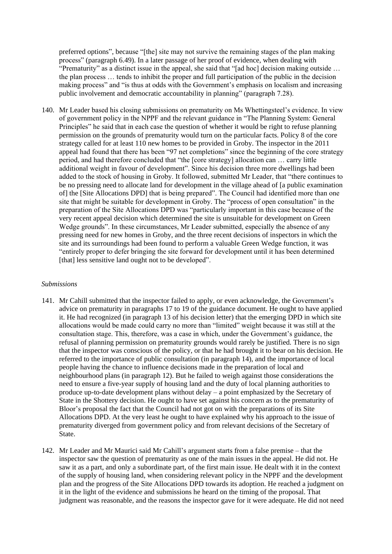preferred options", because "[the] site may not survive the remaining stages of the plan making process" (paragraph 6.49). In a later passage of her proof of evidence, when dealing with "Prematurity" as a distinct issue in the appeal, she said that "[ad hoc] decision making outside … the plan process … tends to inhibit the proper and full participation of the public in the decision making process" and "is thus at odds with the Government's emphasis on localism and increasing public involvement and democratic accountability in planning" (paragraph 7.28).

140. Mr Leader based his closing submissions on prematurity on Ms Whettingsteel's evidence. In view of government policy in the NPPF and the relevant guidance in "The Planning System: General Principles" he said that in each case the question of whether it would be right to refuse planning permission on the grounds of prematurity would turn on the particular facts. Policy 8 of the core strategy called for at least 110 new homes to be provided in Groby. The inspector in the 2011 appeal had found that there has been "97 net completions" since the beginning of the core strategy period, and had therefore concluded that "the [core strategy] allocation can … carry little additional weight in favour of development". Since his decision three more dwellings had been added to the stock of housing in Groby. It followed, submitted Mr Leader, that "there continues to be no pressing need to allocate land for development in the village ahead of [a public examination] of] the [Site Allocations DPD] that is being prepared". The Council had identified more than one site that might be suitable for development in Groby. The "process of open consultation" in the preparation of the Site Allocations DPD was "particularly important in this case because of the very recent appeal decision which determined the site is unsuitable for development on Green Wedge grounds". In these circumstances, Mr Leader submitted, especially the absence of any pressing need for new homes in Groby, and the three recent decisions of inspectors in which the site and its surroundings had been found to perform a valuable Green Wedge function, it was "entirely proper to defer bringing the site forward for development until it has been determined [that] less sensitive land ought not to be developed".

## *Submissions*

- 141. Mr Cahill submitted that the inspector failed to apply, or even acknowledge, the Government's advice on prematurity in paragraphs 17 to 19 of the guidance document. He ought to have applied it. He had recognized (in paragraph 13 of his decision letter) that the emerging DPD in which site allocations would be made could carry no more than "limited" weight because it was still at the consultation stage. This, therefore, was a case in which, under the Government's guidance, the refusal of planning permission on prematurity grounds would rarely be justified. There is no sign that the inspector was conscious of the policy, or that he had brought it to bear on his decision. He referred to the importance of public consultation (in paragraph 14), and the importance of local people having the chance to influence decisions made in the preparation of local and neighbourhood plans (in paragraph 12). But he failed to weigh against those considerations the need to ensure a five-year supply of housing land and the duty of local planning authorities to produce up-to-date development plans without delay – a point emphasized by the Secretary of State in the Shottery decision. He ought to have set against his concern as to the prematurity of Bloor's proposal the fact that the Council had not got on with the preparations of its Site Allocations DPD. At the very least he ought to have explained why his approach to the issue of prematurity diverged from government policy and from relevant decisions of the Secretary of State.
- 142. Mr Leader and Mr Maurici said Mr Cahill's argument starts from a false premise that the inspector saw the question of prematurity as one of the main issues in the appeal. He did not. He saw it as a part, and only a subordinate part, of the first main issue. He dealt with it in the context of the supply of housing land, when considering relevant policy in the NPPF and the development plan and the progress of the Site Allocations DPD towards its adoption. He reached a judgment on it in the light of the evidence and submissions he heard on the timing of the proposal. That judgment was reasonable, and the reasons the inspector gave for it were adequate. He did not need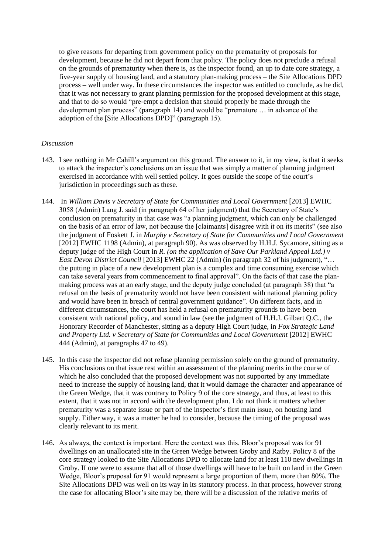to give reasons for departing from government policy on the prematurity of proposals for development, because he did not depart from that policy. The policy does not preclude a refusal on the grounds of prematurity when there is, as the inspector found, an up to date core strategy, a five-year supply of housing land, and a statutory plan-making process – the Site Allocations DPD process – well under way. In these circumstances the inspector was entitled to conclude, as he did, that it was not necessary to grant planning permission for the proposed development at this stage, and that to do so would "pre-empt a decision that should properly be made through the development plan process" (paragraph 14) and would be "premature … in advance of the adoption of the [Site Allocations DPD]" (paragraph 15).

## *Discussion*

- 143. I see nothing in Mr Cahill's argument on this ground. The answer to it, in my view, is that it seeks to attack the inspector's conclusions on an issue that was simply a matter of planning judgment exercised in accordance with well settled policy. It goes outside the scope of the court's jurisdiction in proceedings such as these.
- 144. In *William Davis v Secretary of State for Communities and Local Government* [2013] EWHC 3058 (Admin) Lang J. said (in paragraph 64 of her judgment) that the Secretary of State's conclusion on prematurity in that case was "a planning judgment, which can only be challenged on the basis of an error of law, not because the [claimants] disagree with it on its merits" (see also the judgment of Foskett J. in *Murphy v Secretary of State for Communities and Local Government* [2012] EWHC 1198 (Admin), at paragraph 90). As was observed by H.H.J. Sycamore, sitting as a deputy judge of the High Court in *R. (on the application of Save Our Parkland Appeal Ltd.) v East Devon District Council* [2013] EWHC 22 (Admin) (in paragraph 32 of his judgment), "… the putting in place of a new development plan is a complex and time consuming exercise which can take several years from commencement to final approval". On the facts of that case the planmaking process was at an early stage, and the deputy judge concluded (at paragraph 38) that "a refusal on the basis of prematurity would not have been consistent with national planning policy and would have been in breach of central government guidance". On different facts, and in different circumstances, the court has held a refusal on prematurity grounds to have been consistent with national policy, and sound in law (see the judgment of H.H.J. Gilbart Q.C., the Honorary Recorder of Manchester, sitting as a deputy High Court judge, in *Fox Strategic Land and Property Ltd. v Secretary of State for Communities and Local Government* [2012] EWHC 444 (Admin), at paragraphs 47 to 49).
- 145. In this case the inspector did not refuse planning permission solely on the ground of prematurity. His conclusions on that issue rest within an assessment of the planning merits in the course of which he also concluded that the proposed development was not supported by any immediate need to increase the supply of housing land, that it would damage the character and appearance of the Green Wedge, that it was contrary to Policy 9 of the core strategy, and thus, at least to this extent, that it was not in accord with the development plan. I do not think it matters whether prematurity was a separate issue or part of the inspector's first main issue, on housing land supply. Either way, it was a matter he had to consider, because the timing of the proposal was clearly relevant to its merit.
- 146. As always, the context is important. Here the context was this. Bloor's proposal was for 91 dwellings on an unallocated site in the Green Wedge between Groby and Ratby. Policy 8 of the core strategy looked to the Site Allocations DPD to allocate land for at least 110 new dwellings in Groby. If one were to assume that all of those dwellings will have to be built on land in the Green Wedge, Bloor's proposal for 91 would represent a large proportion of them, more than 80%. The Site Allocations DPD was well on its way in its statutory process. In that process, however strong the case for allocating Bloor's site may be, there will be a discussion of the relative merits of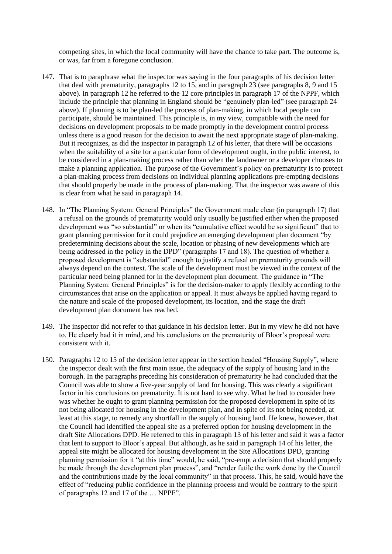competing sites, in which the local community will have the chance to take part. The outcome is, or was, far from a foregone conclusion.

- 147. That is to paraphrase what the inspector was saying in the four paragraphs of his decision letter that deal with prematurity, paragraphs 12 to 15, and in paragraph 23 (see paragraphs 8, 9 and 15 above). In paragraph 12 he referred to the 12 core principles in paragraph 17 of the NPPF, which include the principle that planning in England should be "genuinely plan-led" (see paragraph 24 above). If planning is to be plan-led the process of plan-making, in which local people can participate, should be maintained. This principle is, in my view, compatible with the need for decisions on development proposals to be made promptly in the development control process unless there is a good reason for the decision to await the next appropriate stage of plan-making. But it recognizes, as did the inspector in paragraph 12 of his letter, that there will be occasions when the suitability of a site for a particular form of development ought, in the public interest, to be considered in a plan-making process rather than when the landowner or a developer chooses to make a planning application. The purpose of the Government's policy on prematurity is to protect a plan-making process from decisions on individual planning applications pre-empting decisions that should properly be made in the process of plan-making. That the inspector was aware of this is clear from what he said in paragraph 14.
- 148. In "The Planning System: General Principles" the Government made clear (in paragraph 17) that a refusal on the grounds of prematurity would only usually be justified either when the proposed development was "so substantial" or when its "cumulative effect would be so significant" that to grant planning permission for it could prejudice an emerging development plan document "by predetermining decisions about the scale, location or phasing of new developments which are being addressed in the policy in the DPD" (paragraphs 17 and 18). The question of whether a proposed development is "substantial" enough to justify a refusal on prematurity grounds will always depend on the context. The scale of the development must be viewed in the context of the particular need being planned for in the development plan document. The guidance in "The Planning System: General Principles" is for the decision-maker to apply flexibly according to the circumstances that arise on the application or appeal. It must always be applied having regard to the nature and scale of the proposed development, its location, and the stage the draft development plan document has reached.
- 149. The inspector did not refer to that guidance in his decision letter. But in my view he did not have to. He clearly had it in mind, and his conclusions on the prematurity of Bloor's proposal were consistent with it.
- 150. Paragraphs 12 to 15 of the decision letter appear in the section headed "Housing Supply", where the inspector dealt with the first main issue, the adequacy of the supply of housing land in the borough. In the paragraphs preceding his consideration of prematurity he had concluded that the Council was able to show a five-year supply of land for housing. This was clearly a significant factor in his conclusions on prematurity. It is not hard to see why. What he had to consider here was whether he ought to grant planning permission for the proposed development in spite of its not being allocated for housing in the development plan, and in spite of its not being needed, at least at this stage, to remedy any shortfall in the supply of housing land. He knew, however, that the Council had identified the appeal site as a preferred option for housing development in the draft Site Allocations DPD. He referred to this in paragraph 13 of his letter and said it was a factor that lent to support to Bloor's appeal. But although, as he said in paragraph 14 of his letter, the appeal site might be allocated for housing development in the Site Allocations DPD, granting planning permission for it "at this time" would, he said, "pre-empt a decision that should properly be made through the development plan process", and "render futile the work done by the Council and the contributions made by the local community" in that process. This, he said, would have the effect of "reducing public confidence in the planning process and would be contrary to the spirit of paragraphs 12 and 17 of the … NPPF".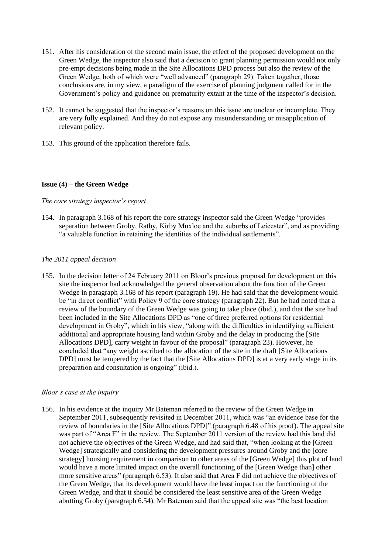- 151. After his consideration of the second main issue, the effect of the proposed development on the Green Wedge, the inspector also said that a decision to grant planning permission would not only pre-empt decisions being made in the Site Allocations DPD process but also the review of the Green Wedge, both of which were "well advanced" (paragraph 29). Taken together, those conclusions are, in my view, a paradigm of the exercise of planning judgment called for in the Government's policy and guidance on prematurity extant at the time of the inspector's decision.
- 152. It cannot be suggested that the inspector's reasons on this issue are unclear or incomplete. They are very fully explained. And they do not expose any misunderstanding or misapplication of relevant policy.
- 153. This ground of the application therefore fails.

## **Issue (4) – the Green Wedge**

## *The core strategy inspector's report*

154. In paragraph 3.168 of his report the core strategy inspector said the Green Wedge "provides separation between Groby, Ratby, Kirby Muxloe and the suburbs of Leicester", and as providing "a valuable function in retaining the identities of the individual settlements".

## *The 2011 appeal decision*

155. In the decision letter of 24 February 2011 on Bloor's previous proposal for development on this site the inspector had acknowledged the general observation about the function of the Green Wedge in paragraph 3.168 of his report (paragraph 19). He had said that the development would be "in direct conflict" with Policy 9 of the core strategy (paragraph 22). But he had noted that a review of the boundary of the Green Wedge was going to take place (ibid.), and that the site had been included in the Site Allocations DPD as "one of three preferred options for residential development in Groby", which in his view, "along with the difficulties in identifying sufficient additional and appropriate housing land within Groby and the delay in producing the [Site Allocations DPD], carry weight in favour of the proposal" (paragraph 23). However, he concluded that "any weight ascribed to the allocation of the site in the draft [Site Allocations DPD] must be tempered by the fact that the [Site Allocations DPD] is at a very early stage in its preparation and consultation is ongoing" (ibid.).

## *Bloor's case at the inquiry*

156. In his evidence at the inquiry Mr Bateman referred to the review of the Green Wedge in September 2011, subsequently revisited in December 2011, which was "an evidence base for the review of boundaries in the [Site Allocations DPD]" (paragraph 6.48 of his proof). The appeal site was part of "Area F" in the review. The September 2011 version of the review had this land did not achieve the objectives of the Green Wedge, and had said that, "when looking at the [Green Wedge] strategically and considering the development pressures around Groby and the [core strategy] housing requirement in comparison to other areas of the [Green Wedge] this plot of land would have a more limited impact on the overall functioning of the [Green Wedge than] other more sensitive areas" (paragraph 6.53). It also said that Area F did not achieve the objectives of the Green Wedge, that its development would have the least impact on the functioning of the Green Wedge, and that it should be considered the least sensitive area of the Green Wedge abutting Groby (paragraph 6.54). Mr Bateman said that the appeal site was "the best location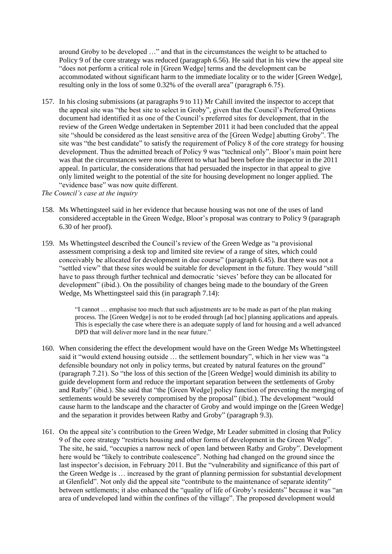around Groby to be developed …" and that in the circumstances the weight to be attached to Policy 9 of the core strategy was reduced (paragraph 6.56). He said that in his view the appeal site "does not perform a critical role in [Green Wedge] terms and the development can be accommodated without significant harm to the immediate locality or to the wider [Green Wedge], resulting only in the loss of some 0.32% of the overall area" (paragraph 6.75).

157. In his closing submissions (at paragraphs 9 to 11) Mr Cahill invited the inspector to accept that the appeal site was "the best site to select in Groby", given that the Council's Preferred Options document had identified it as one of the Council's preferred sites for development, that in the review of the Green Wedge undertaken in September 2011 it had been concluded that the appeal site "should be considered as the least sensitive area of the [Green Wedge] abutting Groby". The site was "the best candidate" to satisfy the requirement of Policy 8 of the core strategy for housing development. Thus the admitted breach of Policy 9 was "technical only". Bloor's main point here was that the circumstances were now different to what had been before the inspector in the 2011 appeal. In particular, the considerations that had persuaded the inspector in that appeal to give only limited weight to the potential of the site for housing development no longer applied. The "evidence base" was now quite different.

*The Council's case at the inquiry*

- 158. Ms Whettingsteel said in her evidence that because housing was not one of the uses of land considered acceptable in the Green Wedge, Bloor's proposal was contrary to Policy 9 (paragraph 6.30 of her proof).
- 159. Ms Whettingsteel described the Council's review of the Green Wedge as "a provisional assessment comprising a desk top and limited site review of a range of sites, which could conceivably be allocated for development in due course" (paragraph 6.45). But there was not a "settled view" that these sites would be suitable for development in the future. They would "still have to pass through further technical and democratic 'sieves' before they can be allocated for development" (ibid.). On the possibility of changes being made to the boundary of the Green Wedge, Ms Whettingsteel said this (in paragraph 7.14):

"I cannot … emphasise too much that such adjustments are to be made as part of the plan making process. The [Green Wedge] is not to be eroded through [ad hoc] planning applications and appeals. This is especially the case where there is an adequate supply of land for housing and a well advanced DPD that will deliver more land in the near future."

- 160. When considering the effect the development would have on the Green Wedge Ms Whettingsteel said it "would extend housing outside … the settlement boundary", which in her view was "a defensible boundary not only in policy terms, but created by natural features on the ground" (paragraph 7.21). So "the loss of this section of the [Green Wedge] would diminish its ability to guide development form and reduce the important separation between the settlements of Groby and Ratby" (ibid.). She said that "the [Green Wedge] policy function of preventing the merging of settlements would be severely compromised by the proposal" (ibid.). The development "would cause harm to the landscape and the character of Groby and would impinge on the [Green Wedge] and the separation it provides between Ratby and Groby" (paragraph 9.3).
- 161. On the appeal site's contribution to the Green Wedge, Mr Leader submitted in closing that Policy 9 of the core strategy "restricts housing and other forms of development in the Green Wedge". The site, he said, "occupies a narrow neck of open land between Ratby and Groby". Development here would be "likely to contribute coalescence". Nothing had changed on the ground since the last inspector's decision, in February 2011. But the "vulnerability and significance of this part of the Green Wedge is … increased by the grant of planning permission for substantial development at Glenfield". Not only did the appeal site "contribute to the maintenance of separate identity" between settlements; it also enhanced the "quality of life of Groby's residents" because it was "an area of undeveloped land within the confines of the village". The proposed development would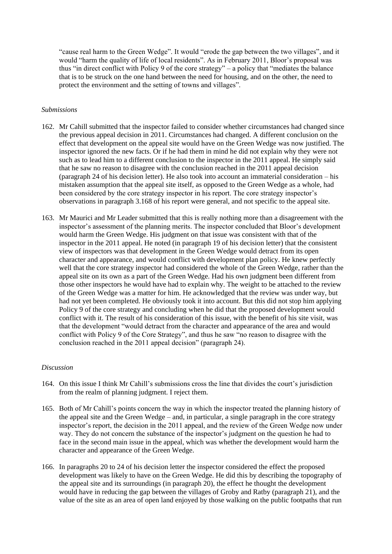"cause real harm to the Green Wedge". It would "erode the gap between the two villages", and it would "harm the quality of life of local residents". As in February 2011, Bloor's proposal was thus "in direct conflict with Policy 9 of the core strategy" – a policy that "mediates the balance that is to be struck on the one hand between the need for housing, and on the other, the need to protect the environment and the setting of towns and villages".

#### *Submissions*

- 162. Mr Cahill submitted that the inspector failed to consider whether circumstances had changed since the previous appeal decision in 2011. Circumstances had changed. A different conclusion on the effect that development on the appeal site would have on the Green Wedge was now justified. The inspector ignored the new facts. Or if he had them in mind he did not explain why they were not such as to lead him to a different conclusion to the inspector in the 2011 appeal. He simply said that he saw no reason to disagree with the conclusion reached in the 2011 appeal decision (paragraph 24 of his decision letter). He also took into account an immaterial consideration – his mistaken assumption that the appeal site itself, as opposed to the Green Wedge as a whole, had been considered by the core strategy inspector in his report. The core strategy inspector's observations in paragraph 3.168 of his report were general, and not specific to the appeal site.
- 163. Mr Maurici and Mr Leader submitted that this is really nothing more than a disagreement with the inspector's assessment of the planning merits. The inspector concluded that Bloor's development would harm the Green Wedge. His judgment on that issue was consistent with that of the inspector in the 2011 appeal. He noted (in paragraph 19 of his decision letter) that the consistent view of inspectors was that development in the Green Wedge would detract from its open character and appearance, and would conflict with development plan policy. He knew perfectly well that the core strategy inspector had considered the whole of the Green Wedge, rather than the appeal site on its own as a part of the Green Wedge. Had his own judgment been different from those other inspectors he would have had to explain why. The weight to be attached to the review of the Green Wedge was a matter for him. He acknowledged that the review was under way, but had not yet been completed. He obviously took it into account. But this did not stop him applying Policy 9 of the core strategy and concluding when he did that the proposed development would conflict with it. The result of his consideration of this issue, with the benefit of his site visit, was that the development "would detract from the character and appearance of the area and would conflict with Policy 9 of the Core Strategy", and thus he saw "no reason to disagree with the conclusion reached in the 2011 appeal decision" (paragraph 24).

#### *Discussion*

- 164. On this issue I think Mr Cahill's submissions cross the line that divides the court's jurisdiction from the realm of planning judgment. I reject them.
- 165. Both of Mr Cahill's points concern the way in which the inspector treated the planning history of the appeal site and the Green Wedge – and, in particular, a single paragraph in the core strategy inspector's report, the decision in the 2011 appeal, and the review of the Green Wedge now under way. They do not concern the substance of the inspector's judgment on the question he had to face in the second main issue in the appeal, which was whether the development would harm the character and appearance of the Green Wedge.
- 166. In paragraphs 20 to 24 of his decision letter the inspector considered the effect the proposed development was likely to have on the Green Wedge. He did this by describing the topography of the appeal site and its surroundings (in paragraph 20), the effect he thought the development would have in reducing the gap between the villages of Groby and Ratby (paragraph 21), and the value of the site as an area of open land enjoyed by those walking on the public footpaths that run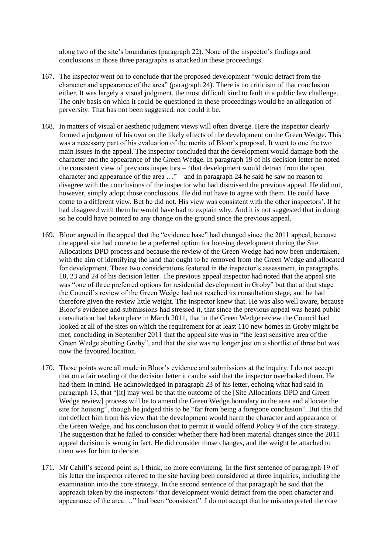along two of the site's boundaries (paragraph 22). None of the inspector's findings and conclusions in those three paragraphs is attacked in these proceedings.

- 167. The inspector went on to conclude that the proposed development "would detract from the character and appearance of the area" (paragraph 24). There is no criticism of that conclusion either. It was largely a visual judgment, the most difficult kind to fault in a public law challenge. The only basis on which it could be questioned in these proceedings would be an allegation of perversity. That has not been suggested, nor could it be.
- 168. In matters of visual or aesthetic judgment views will often diverge. Here the inspector clearly formed a judgment of his own on the likely effects of the development on the Green Wedge. This was a necessary part of his evaluation of the merits of Bloor's proposal. It went to one the two main issues in the appeal. The inspector concluded that the development would damage both the character and the appearance of the Green Wedge. In paragraph 19 of his decision letter he noted the consistent view of previous inspectors – "that development would detract from the open character and appearance of the area …" – and in paragraph 24 he said he saw no reason to disagree with the conclusions of the inspector who had dismissed the previous appeal. He did not, however, simply adopt those conclusions. He did not have to agree with them. He could have come to a different view. But he did not. His view was consistent with the other inspectors'. If he had disagreed with them he would have had to explain why. And it is not suggested that in doing so he could have pointed to any change on the ground since the previous appeal.
- 169. Bloor argued in the appeal that the "evidence base" had changed since the 2011 appeal, because the appeal site had come to be a preferred option for housing development during the Site Allocations DPD process and because the review of the Green Wedge had now been undertaken, with the aim of identifying the land that ought to be removed from the Green Wedge and allocated for development. These two considerations featured in the inspector's assessment, in paragraphs 18, 23 and 24 of his decision letter. The previous appeal inspector had noted that the appeal site was "one of three preferred options for residential development in Groby" but that at that stage the Council's review of the Green Wedge had not reached its consultation stage, and he had therefore given the review little weight. The inspector knew that. He was also well aware, because Bloor's evidence and submissions had stressed it, that since the previous appeal was heard public consultation had taken place in March 2011, that in the Green Wedge review the Council had looked at all of the sites on which the requirement for at least 110 new homes in Groby might be met, concluding in September 2011 that the appeal site was in "the least sensitive area of the Green Wedge abutting Groby", and that the site was no longer just on a shortlist of three but was now the favoured location.
- 170. Those points were all made in Bloor's evidence and submissions at the inquiry. I do not accept that on a fair reading of the decision letter it can be said that the inspector overlooked them. He had them in mind. He acknowledged in paragraph 23 of his letter, echoing what had said in paragraph 13, that "[it] may well be that the outcome of the [Site Allocations DPD and Green Wedge review] process will be to amend the Green Wedge boundary in the area and allocate the site for housing", though he judged this to be "far from being a foregone conclusion". But this did not deflect him from his view that the development would harm the character and appearance of the Green Wedge, and his conclusion that to permit it would offend Policy 9 of the core strategy. The suggestion that he failed to consider whether there had been material changes since the 2011 appeal decision is wrong in fact. He did consider those changes, and the weight he attached to them was for him to decide.
- 171. Mr Cahill's second point is, I think, no more convincing. In the first sentence of paragraph 19 of his letter the inspector referred to the site having been considered at three inquiries, including the examination into the core strategy. In the second sentence of that paragraph he said that the approach taken by the inspectors "that development would detract from the open character and appearance of the area …" had been "consistent". I do not accept that he misinterpreted the core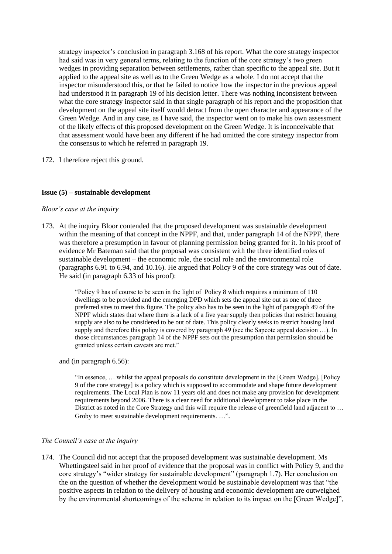strategy inspector's conclusion in paragraph 3.168 of his report. What the core strategy inspector had said was in very general terms, relating to the function of the core strategy's two green wedges in providing separation between settlements, rather than specific to the appeal site. But it applied to the appeal site as well as to the Green Wedge as a whole. I do not accept that the inspector misunderstood this, or that he failed to notice how the inspector in the previous appeal had understood it in paragraph 19 of his decision letter. There was nothing inconsistent between what the core strategy inspector said in that single paragraph of his report and the proposition that development on the appeal site itself would detract from the open character and appearance of the Green Wedge. And in any case, as I have said, the inspector went on to make his own assessment of the likely effects of this proposed development on the Green Wedge. It is inconceivable that that assessment would have been any different if he had omitted the core strategy inspector from the consensus to which he referred in paragraph 19.

172. I therefore reject this ground.

#### **Issue (5) – sustainable development**

#### *Bloor's case at the inquiry*

173. At the inquiry Bloor contended that the proposed development was sustainable development within the meaning of that concept in the NPPF, and that, under paragraph 14 of the NPPF, there was therefore a presumption in favour of planning permission being granted for it. In his proof of evidence Mr Bateman said that the proposal was consistent with the three identified roles of sustainable development – the economic role, the social role and the environmental role (paragraphs 6.91 to 6.94, and 10.16). He argued that Policy 9 of the core strategy was out of date. He said (in paragraph 6.33 of his proof):

> "Policy 9 has of course to be seen in the light of Policy 8 which requires a minimum of 110 dwellings to be provided and the emerging DPD which sets the appeal site out as one of three preferred sites to meet this figure. The policy also has to be seen in the light of paragraph 49 of the NPPF which states that where there is a lack of a five year supply then policies that restrict housing supply are also to be considered to be out of date. This policy clearly seeks to restrict housing land supply and therefore this policy is covered by paragraph 49 (see the Sapcote appeal decision ...). In those circumstances paragraph 14 of the NPPF sets out the presumption that permission should be granted unless certain caveats are met."

and (in paragraph 6.56):

"In essence, … whilst the appeal proposals do constitute development in the [Green Wedge], [Policy 9 of the core strategy] is a policy which is supposed to accommodate and shape future development requirements. The Local Plan is now 11 years old and does not make any provision for development requirements beyond 2006. There is a clear need for additional development to take place in the District as noted in the Core Strategy and this will require the release of greenfield land adjacent to ... Groby to meet sustainable development requirements. ...".

#### *The Council's case at the inquiry*

174. The Council did not accept that the proposed development was sustainable development. Ms Whettingsteel said in her proof of evidence that the proposal was in conflict with Policy 9, and the core strategy's "wider strategy for sustainable development" (paragraph 1.7). Her conclusion on the on the question of whether the development would be sustainable development was that "the positive aspects in relation to the delivery of housing and economic development are outweighed by the environmental shortcomings of the scheme in relation to its impact on the [Green Wedge]",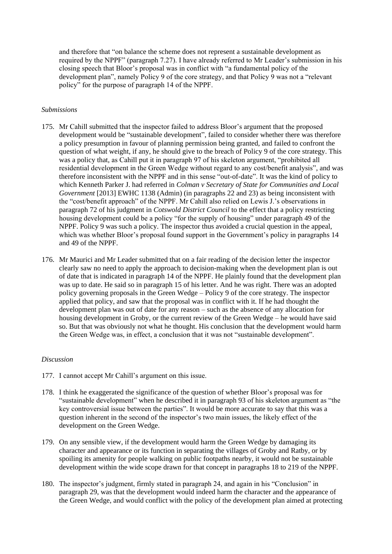and therefore that "on balance the scheme does not represent a sustainable development as required by the NPPF" (paragraph 7.27). I have already referred to Mr Leader's submission in his closing speech that Bloor's proposal was in conflict with "a fundamental policy of the development plan", namely Policy 9 of the core strategy, and that Policy 9 was not a "relevant" policy" for the purpose of paragraph 14 of the NPPF.

#### *Submissions*

- 175. Mr Cahill submitted that the inspector failed to address Bloor's argument that the proposed development would be "sustainable development", failed to consider whether there was therefore a policy presumption in favour of planning permission being granted, and failed to confront the question of what weight, if any, he should give to the breach of Policy 9 of the core strategy. This was a policy that, as Cahill put it in paragraph 97 of his skeleton argument, "prohibited all residential development in the Green Wedge without regard to any cost/benefit analysis", and was therefore inconsistent with the NPPF and in this sense "out-of-date". It was the kind of policy to which Kenneth Parker J. had referred in *Colman v Secretary of State for Communities and Local Government* [2013] EWHC 1138 (Admin) (in paragraphs 22 and 23) as being inconsistent with the "cost/benefit approach" of the NPPF. Mr Cahill also relied on Lewis J.'s observations in paragraph 72 of his judgment in *Cotswold District Council* to the effect that a policy restricting housing development could be a policy "for the supply of housing" under paragraph 49 of the NPPF. Policy 9 was such a policy. The inspector thus avoided a crucial question in the appeal, which was whether Bloor's proposal found support in the Government's policy in paragraphs 14 and 49 of the NPPF.
- 176. Mr Maurici and Mr Leader submitted that on a fair reading of the decision letter the inspector clearly saw no need to apply the approach to decision-making when the development plan is out of date that is indicated in paragraph 14 of the NPPF. He plainly found that the development plan was up to date. He said so in paragraph 15 of his letter. And he was right. There was an adopted policy governing proposals in the Green Wedge – Policy 9 of the core strategy. The inspector applied that policy, and saw that the proposal was in conflict with it. If he had thought the development plan was out of date for any reason – such as the absence of any allocation for housing development in Groby, or the current review of the Green Wedge – he would have said so. But that was obviously not what he thought. His conclusion that the development would harm the Green Wedge was, in effect, a conclusion that it was not "sustainable development".

#### *Discussion*

- 177. I cannot accept Mr Cahill's argument on this issue.
- 178. I think he exaggerated the significance of the question of whether Bloor's proposal was for "sustainable development" when he described it in paragraph 93 of his skeleton argument as "the key controversial issue between the parties". It would be more accurate to say that this was a question inherent in the second of the inspector's two main issues, the likely effect of the development on the Green Wedge.
- 179. On any sensible view, if the development would harm the Green Wedge by damaging its character and appearance or its function in separating the villages of Groby and Ratby, or by spoiling its amenity for people walking on public footpaths nearby, it would not be sustainable development within the wide scope drawn for that concept in paragraphs 18 to 219 of the NPPF.
- 180. The inspector's judgment, firmly stated in paragraph 24, and again in his "Conclusion" in paragraph 29, was that the development would indeed harm the character and the appearance of the Green Wedge, and would conflict with the policy of the development plan aimed at protecting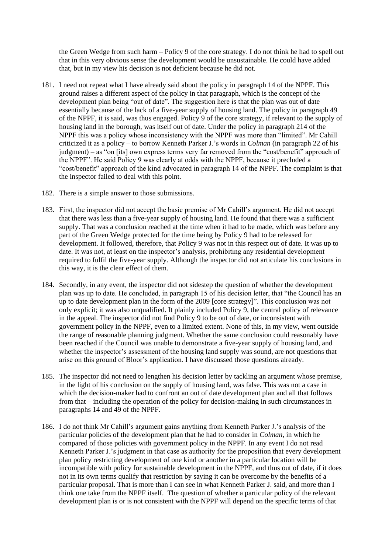the Green Wedge from such harm – Policy 9 of the core strategy. I do not think he had to spell out that in this very obvious sense the development would be unsustainable. He could have added that, but in my view his decision is not deficient because he did not.

- 181. I need not repeat what I have already said about the policy in paragraph 14 of the NPPF. This ground raises a different aspect of the policy in that paragraph, which is the concept of the development plan being "out of date". The suggestion here is that the plan was out of date essentially because of the lack of a five-year supply of housing land. The policy in paragraph 49 of the NPPF, it is said, was thus engaged. Policy 9 of the core strategy, if relevant to the supply of housing land in the borough, was itself out of date. Under the policy in paragraph 214 of the NPPF this was a policy whose inconsistency with the NPPF was more than "limited". Mr Cahill criticized it as a policy – to borrow Kenneth Parker J.'s words in *Colman* (in paragraph 22 of his judgment) – as "on [its] own express terms very far removed from the "cost/benefit" approach of the NPPF". He said Policy 9 was clearly at odds with the NPPF, because it precluded a "cost/benefit" approach of the kind advocated in paragraph 14 of the NPPF. The complaint is that the inspector failed to deal with this point.
- 182. There is a simple answer to those submissions.
- 183. First, the inspector did not accept the basic premise of Mr Cahill's argument. He did not accept that there was less than a five-year supply of housing land. He found that there was a sufficient supply. That was a conclusion reached at the time when it had to be made, which was before any part of the Green Wedge protected for the time being by Policy 9 had to be released for development. It followed, therefore, that Policy 9 was not in this respect out of date. It was up to date. It was not, at least on the inspector's analysis, prohibiting any residential development required to fulfil the five-year supply. Although the inspector did not articulate his conclusions in this way, it is the clear effect of them.
- 184. Secondly, in any event, the inspector did not sidestep the question of whether the development plan was up to date. He concluded, in paragraph 15 of his decision letter, that "the Council has an up to date development plan in the form of the 2009 [core strategy]". This conclusion was not only explicit; it was also unqualified. It plainly included Policy 9, the central policy of relevance in the appeal. The inspector did not find Policy 9 to be out of date, or inconsistent with government policy in the NPPF, even to a limited extent. None of this, in my view, went outside the range of reasonable planning judgment. Whether the same conclusion could reasonably have been reached if the Council was unable to demonstrate a five-year supply of housing land, and whether the inspector's assessment of the housing land supply was sound, are not questions that arise on this ground of Bloor's application. I have discussed those questions already.
- 185. The inspector did not need to lengthen his decision letter by tackling an argument whose premise, in the light of his conclusion on the supply of housing land, was false. This was not a case in which the decision-maker had to confront an out of date development plan and all that follows from that – including the operation of the policy for decision-making in such circumstances in paragraphs 14 and 49 of the NPPF.
- 186. I do not think Mr Cahill's argument gains anything from Kenneth Parker J.'s analysis of the particular policies of the development plan that he had to consider in *Colman*, in which he compared of those policies with government policy in the NPPF. In any event I do not read Kenneth Parker J.'s judgment in that case as authority for the proposition that every development plan policy restricting development of one kind or another in a particular location will be incompatible with policy for sustainable development in the NPPF, and thus out of date, if it does not in its own terms qualify that restriction by saying it can be overcome by the benefits of a particular proposal. That is more than I can see in what Kenneth Parker J. said, and more than I think one take from the NPPF itself. The question of whether a particular policy of the relevant development plan is or is not consistent with the NPPF will depend on the specific terms of that